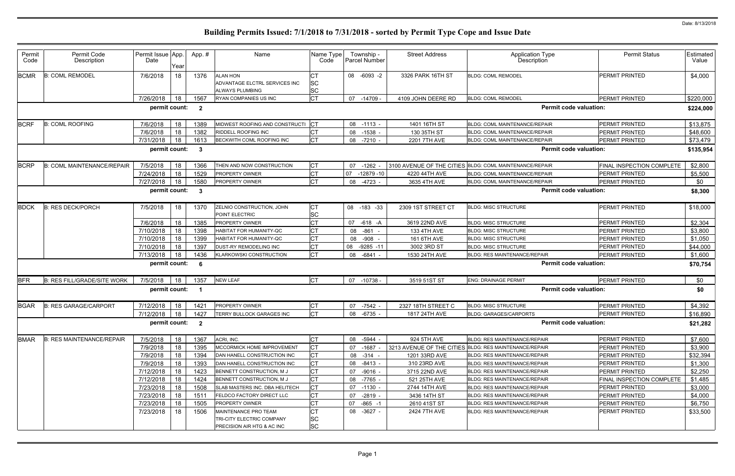| Permit<br>Code | Permit Code<br>Description         | Permit Issue App.<br>Date | Year | App. #                  | Name                                                                | Name Type<br>Code      |    | Township -<br>Parcel Number | <b>Street Address</b> | Application Type<br>Description                         | <b>Permit Status</b>      | Estimated<br>Value |
|----------------|------------------------------------|---------------------------|------|-------------------------|---------------------------------------------------------------------|------------------------|----|-----------------------------|-----------------------|---------------------------------------------------------|---------------------------|--------------------|
| <b>BCMR</b>    | <b>B: COML REMODEL</b>             | 7/6/2018                  | 18   | 1376                    | <b>ALAN HON</b><br>ADVANTAGE ELCTRL SERVICES INC<br>ALWAYS PLUMBING | SC<br><b>SC</b>        |    | 08 -6093 -2                 | 3326 PARK 16TH ST     | <b>BLDG: COML REMODEL</b>                               | <b>PERMIT PRINTED</b>     | \$4,000            |
|                |                                    | 7/26/2018                 | 18   | 1567                    | <b>RYAN COMPANIES US INC</b>                                        | <b>CT</b>              |    | 07 -14709 -                 | 4109 JOHN DEERE RD    | <b>BLDG: COML REMODEL</b>                               | <b>PERMIT PRINTED</b>     | \$220,000          |
|                |                                    | permit count:             |      | $\overline{\mathbf{2}}$ |                                                                     |                        |    |                             |                       | <b>Permit code valuation:</b>                           |                           | \$224,000          |
| <b>BCRF</b>    | <b>B: COML ROOFING</b>             | 7/6/2018                  | 18   | 1389                    | MIDWEST ROOFING AND CONSTRUCTI                                      | <b>ICT</b>             |    | 08 -1113 -                  | 1401 16TH ST          | BLDG: COML MAINTENANCE/REPAIR                           | <b>PERMIT PRINTED</b>     | \$13,875           |
|                |                                    | 7/6/2018                  | 18   | 1382                    | RIDDELL ROOFING INC                                                 | <b>CT</b>              | 08 | $-1538$                     | 130 35TH ST           | BLDG: COML MAINTENANCE/REPAIR                           | <b>PERMIT PRINTED</b>     | \$48,600           |
|                |                                    | 7/31/2018                 | 18   | 1613                    | BECKWITH COML ROOFING INC                                           | <b>CT</b>              |    | 08 -7210 -                  | 2201 7TH AVE          | BLDG: COML MAINTENANCE/REPAIR                           | PERMIT PRINTED            | \$73,479           |
|                |                                    | permit count:             |      | $\mathbf{3}$            |                                                                     |                        |    |                             |                       | <b>Permit code valuation:</b>                           |                           | \$135,954          |
| <b>BCRP</b>    | <b>B: COML MAINTENANCE/REPAIR</b>  | 7/5/2018                  | 18   | 1366                    | THEN AND NOW CONSTRUCTION                                           | <b>CT</b>              | 07 | $-1262$                     |                       | 3100 AVENUE OF THE CITIES BLDG: COML MAINTENANCE/REPAIR | FINAL INSPECTION COMPLETE | \$2,800            |
|                |                                    | 7/24/2018                 | 18   | 1529                    | PROPERTY OWNER                                                      | <b>CT</b>              | 07 | $-12879 - 10$               | 4220 44TH AVE         | BLDG: COML MAINTENANCE/REPAIR                           | PERMIT PRINTED            | \$5,500            |
|                |                                    | 7/27/2018                 | 18   | 1580                    | <b>PROPERTY OWNER</b>                                               | <b>CT</b>              |    | 08 -4723 -                  | 3635 4TH AVE          | BLDG: COML MAINTENANCE/REPAIR                           | PERMIT PRINTED            | \$0                |
|                |                                    | permit count:             |      | - 3                     |                                                                     |                        |    |                             |                       | <b>Permit code valuation:</b>                           |                           | \$8,300            |
| <b>BDCK</b>    | <b>B: RES DECK/PORCH</b>           | 7/5/2018                  | 18   | 1370                    | ZELNIO CONSTRUCTION, JOHN<br>POINT ELECTRIC                         | <b>CT</b><br><b>SC</b> |    | 08 -183 -33                 | 2309 1ST STREET CT    | <b>BLDG: MISC STRUCTURE</b>                             | <b>PERMIT PRINTED</b>     | \$18,000           |
|                |                                    | 7/6/2018                  | 18   | 1385                    | PROPERTY OWNER                                                      | <b>CT</b>              | 07 | -618 -A                     | 3619 22ND AVE         | <b>BLDG: MISC STRUCTURE</b>                             | <b>PERMIT PRINTED</b>     | \$2,304            |
|                |                                    | 7/10/2018                 | 18   | 1398                    | HABITAT FOR HUMANITY-QC                                             | <b>CT</b>              | 08 | $-861$                      | 133 4TH AVE           | <b>BLDG: MISC STRUCTURE</b>                             | PERMIT PRINTED            | \$3,800            |
|                |                                    | 7/10/2018                 | 18   | 1399                    | HABITAT FOR HUMANITY-QC                                             | СT                     |    | 08 -908                     | 161 6TH AVE           | <b>BLDG: MISC STRUCTURE</b>                             | PERMIT PRINTED            | \$1,050            |
|                |                                    | 7/10/2018                 | 18   | 1397                    | DUST-RY REMODELING INC                                              | <b>CT</b>              | 08 | $-9285 - 11$                | 3002 3RD ST           | <b>BLDG: MISC STRUCTURE</b>                             | <b>PERMIT PRINTED</b>     | \$44,000           |
|                |                                    | 7/13/2018                 | 18   | 1436                    | KLARKOWSKI CONSTRUCTION                                             | <b>CT</b>              | 08 | -6841                       | 1530 24TH AVE         | <b>BLDG: RES MAINTENANCE/REPAIR</b>                     | PERMIT PRINTED            | \$1,600            |
|                |                                    | permit count:             |      | -6                      |                                                                     |                        |    |                             |                       | <b>Permit code valuation:</b>                           |                           | \$70,754           |
| <b>BFR</b>     | <b>B: RES FILL/GRADE/SITE WORK</b> | 7/5/2018                  | 18   | 1357                    | <b>NEW LEAF</b>                                                     | lст                    |    | 07 -10738                   | 3519 51ST ST          | <b>ENG: DRAINAGE PERMIT</b>                             | <b>PERMIT PRINTED</b>     | \$0                |
|                |                                    | permit count:             |      | - 1                     |                                                                     |                        |    |                             |                       | <b>Permit code valuation:</b>                           |                           | \$0                |
| <b>BGAR</b>    | <b>B: RES GARAGE/CARPORT</b>       | 7/12/2018                 | 18   | 1421                    | <b>PROPERTY OWNER</b>                                               | C <sub>1</sub>         | 07 | -7542                       | 2327 18TH STREET C    | <b>BLDG: MISC STRUCTURE</b>                             | <b>PERMIT PRINTED</b>     | \$4,392            |
|                |                                    | 7/12/2018                 | 18   | 1427                    | TERRY BULLOCK GARAGES INC                                           | IСТ                    |    | 08 -6735 -                  | 1817 24TH AVE         | BLDG: GARAGES/CARPORTS                                  | <b>PERMIT PRINTED</b>     | \$16,890           |
|                |                                    | permit count:             |      | $\overline{\mathbf{2}}$ |                                                                     |                        |    |                             |                       | <b>Permit code valuation:</b>                           |                           | \$21,282           |
| <b>BMAR</b>    | <b>B: RES MAINTENANCE/REPAIR</b>   | 7/5/2018                  | 18   | 1367                    | ACRI, INC.                                                          | <b>CT</b>              |    | 08 -5944 -                  | 924 5TH AVE           | <b>BLDG: RES MAINTENANCE/REPAIR</b>                     | <b>PERMIT PRINTED</b>     | \$7,600            |
|                |                                    | 7/9/2018                  | 18   | 1395                    | <b>MCCORMICK HOME IMPROVEMENT</b>                                   | СT                     |    | 07 -1687                    |                       | 3213 AVENUE OF THE CITIES BLDG: RES MAINTENANCE/REPAIR  | <b>PERMIT PRINTED</b>     | \$3,900            |
|                |                                    | 7/9/2018                  | 18   | 1394                    | DAN HANELL CONSTRUCTION INC                                         | <b>CT</b>              |    | 08 - 314 -                  | 1201 33RD AVE         | <b>BLDG: RES MAINTENANCE/REPAIR</b>                     | <b>PERMIT PRINTED</b>     | \$32,394           |
|                |                                    | 7/9/2018                  | 18   | 1393                    | DAN HANELL CONSTRUCTION INC                                         | <b>CT</b>              |    | 08 -8413 -                  | 310 23RD AVE          | BLDG: RES MAINTENANCE/REPAIR                            | <b>PERMIT PRINTED</b>     | \$1,300            |
|                |                                    | 7/12/2018                 | 18   | 1423                    | BENNETT CONSTRUCTION, M J                                           | <b>CT</b>              | 07 | $-9016 -$                   | 3715 22ND AVE         | <b>BLDG: RES MAINTENANCE/REPAIR</b>                     | PERMIT PRINTED            | \$2,250            |
|                |                                    | 7/12/2018                 | 18   | 1424                    | BENNETT CONSTRUCTION, M J                                           | СT                     |    | 08 -7765 -                  | 521 25TH AVE          | <b>BLDG: RES MAINTENANCE/REPAIR</b>                     | FINAL INSPECTION COMPLETE | \$1,485            |
|                |                                    | 7/23/2018                 | 18   | 1508                    | SLAB MASTERS INC. DBA HELITECH                                      | IСТ                    |    | 07 -1130 -                  | 2744 14TH AVE         | <b>BLDG: RES MAINTENANCE/REPAIR</b>                     | PERMIT PRINTED            | \$3,000            |
|                |                                    | 7/23/2018                 | 18   | 1511                    | <b>FELDCO FACTORY DIRECT LLC</b>                                    | <b>CT</b>              | 07 | -2819 -                     | 3436 14TH ST          | <b>BLDG: RES MAINTENANCE/REPAIR</b>                     | PERMIT PRINTED            | \$4,000            |
|                |                                    | 7/23/2018                 | 18   | 1505                    | PROPERTY OWNER                                                      | <b>CT</b>              | 07 | $-865 - 1$                  | 2610 41ST ST          | BLDG: RES MAINTENANCE/REPAIR                            | PERMIT PRINTED            | \$6,750            |
|                |                                    | 7/23/2018                 | 18   | 1506                    | MAINTENANCE PRO TEAM<br>TRI-CITY ELECTRIC COMPANY                   | СT<br><b>SC</b>        |    | 08 -3627 -                  | 2424 7TH AVE          | <b>BLDG: RES MAINTENANCE/REPAIR</b>                     | <b>PERMIT PRINTED</b>     | \$33,500           |
|                |                                    |                           |      |                         | PRECISION AIR HTG & AC INC                                          | <b>SC</b>              |    |                             |                       |                                                         |                           |                    |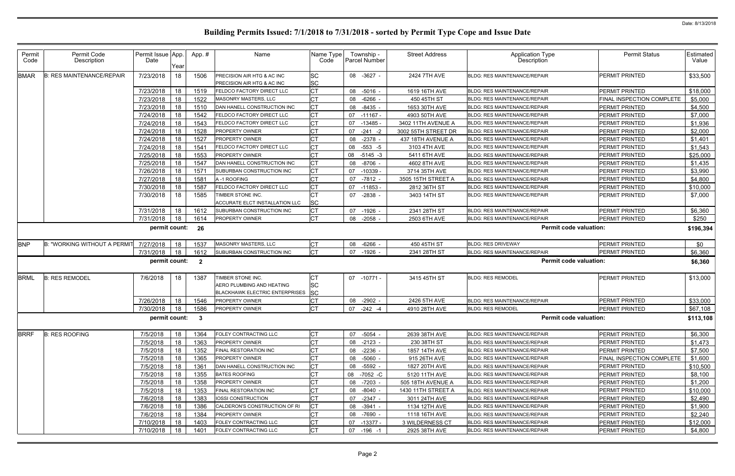| Permit<br>Code | Permit Code<br>Description       | Permit Issue App.<br>Date | Year | App.#                   | Name                                                                                    | Name Type<br>Code            | Township -<br>Parcel Number | <b>Street Address</b> | <b>Application Type</b><br>Description | <b>Permit Status</b>      | Estimated  <br>Value |
|----------------|----------------------------------|---------------------------|------|-------------------------|-----------------------------------------------------------------------------------------|------------------------------|-----------------------------|-----------------------|----------------------------------------|---------------------------|----------------------|
| <b>BMAR</b>    | <b>B: RES MAINTENANCE/REPAIR</b> | 7/23/2018                 | 18   | 1506                    | PRECISION AIR HTG & AC INC<br>PRECISION AIR HTG & AC INC                                | <b>SC</b><br><b>SC</b>       | 08 -3627 -                  | 2424 7TH AVE          | <b>BLDG: RES MAINTENANCE/REPAIR</b>    | PERMIT PRINTED            | \$33,500             |
|                |                                  | 7/23/2018                 | 18   | 1519                    | FELDCO FACTORY DIRECT LLC                                                               | <b>CT</b>                    | 08 -5016 -                  | 1619 16TH AVE         | <b>BLDG: RES MAINTENANCE/REPAIR</b>    | PERMIT PRINTED            | \$18,000             |
|                |                                  | 7/23/2018                 | 18   | 1522                    | MASONRY MASTERS, LLC                                                                    | <b>CT</b>                    | 08 -6266                    | 450 45TH ST           | <b>BLDG: RES MAINTENANCE/REPAIR</b>    | FINAL INSPECTION COMPLETE | \$5,000              |
|                |                                  | 7/23/2018                 | 18   | 1510                    | DAN HANELL CONSTRUCTION INC                                                             | <b>CT</b>                    | 08 -8435                    | 1653 30TH AVE         | BLDG: RES MAINTENANCE/REPAIR           | PERMIT PRINTED            | \$4,500              |
|                |                                  | 7/24/2018                 | 18   | 1542                    | <b>ELDCO FACTORY DIRECT LLC</b>                                                         | <b>CT</b>                    | 07 -11167 -                 | 4903 50TH AVE         | <b>BLDG: RES MAINTENANCE/REPAIR</b>    | PERMIT PRINTED            | \$7,000              |
|                |                                  | 7/24/2018                 | 18   | 1543                    | <b>ELDCO FACTORY DIRECT LLC</b>                                                         | IСТ                          | 07 -13485 -                 | 3402 11TH AVENUE A    | <b>BLDG: RES MAINTENANCE/REPAIR</b>    | PERMIT PRINTED            | \$1,936              |
|                |                                  | 7/24/2018                 | 18   | 1528                    | PROPERTY OWNER                                                                          | Iст                          | $-241 -2$<br>07             | 3002 55TH STREET DR   | <b>BLDG: RES MAINTENANCE/REPAIR</b>    | PERMIT PRINTED            | \$2,000              |
|                |                                  | 7/24/2018                 | 18   | 1527                    | PROPERTY OWNER                                                                          | СT                           | 08<br>-2378                 | 437 18TH AVENUE A     | <b>BLDG: RES MAINTENANCE/REPAIR</b>    | PERMIT PRINTED            | \$1,401              |
|                |                                  | 7/24/2018                 | 18   | 1541                    | <b>ELDCO FACTORY DIRECT LLC</b>                                                         | <b>CT</b>                    | 08<br>-553 -5               | 3103 4TH AVE          | BLDG: RES MAINTENANCE/REPAIR           | PERMIT PRINTED            | \$1,543              |
|                |                                  | 7/25/2018                 | 18   | 1553                    | PROPERTY OWNER                                                                          | СT                           | 08<br>$-5145 -3$            | 5411 6TH AVE          | <b>BLDG: RES MAINTENANCE/REPAIR</b>    | PERMIT PRINTED            | \$25,000             |
|                |                                  | 7/25/2018                 | 18   | 1547                    | DAN HANELL CONSTRUCTION INC                                                             | IСТ                          | 08 -8706 -                  | 4602 8TH AVE          | <b>BLDG: RES MAINTENANCE/REPAIR</b>    | PERMIT PRINTED            | \$1,435              |
|                |                                  | 7/26/2018                 | 18   | 1571                    | SUBURBAN CONSTRUCTION INC                                                               | <b>CT</b>                    | 07 -10339                   | 3714 35TH AVE         | <b>BLDG: RES MAINTENANCE/REPAIR</b>    | PERMIT PRINTED            | \$3,990              |
|                |                                  | 7/27/2018                 | 18   | 1581                    | A-1 ROOFING                                                                             | Iст                          | $-7812$<br>07               | 3505 15TH STREET A    | BLDG: RES MAINTENANCE/REPAIR           | PERMIT PRINTED            | \$4,800              |
|                |                                  | 7/30/2018                 | 18   | 1587                    | <b>ELDCO FACTORY DIRECT LLC</b>                                                         | IСТ                          | 07 -11853                   | 2812 36TH ST          | BLDG: RES MAINTENANCE/REPAIR           | PERMIT PRINTED            | \$10,000             |
|                |                                  | 7/30/2018                 | 18   | 1585                    | TIMBER STONE INC.<br>ACCURATE ELCT INSTALLATION LLC                                     | <b>ICT</b><br>SC             | 07 -2838 -                  | 3403 14TH ST          | <b>BLDG: RES MAINTENANCE/REPAIR</b>    | PERMIT PRINTED            | \$7,000              |
|                |                                  | 7/31/2018                 | 18   | 1612                    | SUBURBAN CONSTRUCTION INC                                                               | <b>CT</b>                    | 07 -1926 -                  | 2341 28TH ST          | <b>BLDG: RES MAINTENANCE/REPAIR</b>    | <b>PERMIT PRINTED</b>     | \$6,360              |
|                |                                  | 7/31/2018                 | 18   | 1614                    | <b>PROPERTY OWNER</b>                                                                   | IСТ                          | $08 - 2058$                 | 2503 6TH AVE          | BLDG: RES MAINTENANCE/REPAIR           | PERMIT PRINTED            | \$250                |
|                |                                  | permit count:             |      | 26                      |                                                                                         |                              |                             |                       | <b>Permit code valuation:</b>          |                           | \$196,394            |
| <b>BNP</b>     | B: "WORKING WITHOUT A PERMIT     | 7/27/2018                 | 18   | 1537                    | MASONRY MASTERS, LLC                                                                    | <b>CT</b>                    | 08 -6266                    | 450 45TH ST           | <b>BLDG: RES DRIVEWAY</b>              | PERMIT PRINTED            | \$0                  |
|                |                                  | 7/31/2018                 | 18   | 1612                    | SUBURBAN CONSTRUCTION INC                                                               | <b>CT</b>                    | $-1926$ -<br>07             | 2341 28TH ST          | <b>BLDG: RES MAINTENANCE/REPAIR</b>    | PERMIT PRINTED            | \$6,360              |
|                |                                  | permit count:             |      | $\overline{\mathbf{2}}$ |                                                                                         |                              |                             |                       | <b>Permit code valuation:</b>          |                           | \$6,360              |
| <b>BRML</b>    | <b>B: RES REMODEL</b>            | 7/6/2018                  | 18   | 1387                    | TIMBER STONE INC.<br>AERO PLUMBING AND HEATING<br><b>BLACKHAWK ELECTRIC ENTERPRISES</b> | СT<br><b>SC</b><br><b>SC</b> | 07 -10771 -                 | 3415 45TH ST          | <b>BLDG: RES REMODEL</b>               | PERMIT PRINTED            | \$13,000             |
|                |                                  | 7/26/2018                 | 18   | 1546                    | <b>PROPERTY OWNER</b>                                                                   | IСТ                          | 08 -2902                    | 2426 5TH AVE          | <b>BLDG: RES MAINTENANCE/REPAIR</b>    | PERMIT PRINTED            | \$33,000             |
|                |                                  | 7/30/2018                 | 18   | 1586                    | PROPERTY OWNER                                                                          | IСТ                          | 07 -242 -4                  | 4910 28TH AVE         | <b>BLDG: RES REMODEL</b>               | PERMIT PRINTED            | \$67,108             |
|                |                                  | permit count: 3           |      |                         |                                                                                         |                              |                             |                       | Permit code valuation:                 |                           | \$113,108            |
| <b>BRRF</b>    | <b>B: RES ROOFING</b>            | 7/5/2018                  | 18   | 1364                    | FOLEY CONTRACTING LLC                                                                   | <b>CT</b>                    | -5054 -<br>07               | 2639 38TH AVE         | BLDG: RES MAINTENANCE/REPAIR           | PERMIT PRINTED            | \$6,300              |
|                |                                  | 7/5/2018                  | 18   | 1363                    | <b>PROPERTY OWNER</b>                                                                   | <b>CT</b>                    | 08 -2123 -                  | 230 38TH ST           | BLDG: RES MAINTENANCE/REPAIR           | PERMIT PRINTED            | \$1,473              |
|                |                                  | 7/5/2018                  | 18   | 1352                    | FINAL RESTORATION INC                                                                   | СT                           | 08 -2236 -                  | 1857 14TH AVE         | BLDG: RES MAINTENANCE/REPAIR           | PERMIT PRINTED            | \$7,500              |
|                |                                  | 7/5/2018                  | 18   | 1365                    | PROPERTY OWNER                                                                          | Iст                          | 08 -5060 -                  | 915 26TH AVE          | BLDG: RES MAINTENANCE/REPAIR           | FINAL INSPECTION COMPLETE | \$1,600              |
|                |                                  | 7/5/2018                  | 18   | 1361                    | DAN HANELL CONSTRUCTION INC                                                             | IСТ                          | 08 -5592 -                  | 1827 20TH AVE         | BLDG: RES MAINTENANCE/REPAIR           | <b>PERMIT PRINTED</b>     | \$10,500             |
|                |                                  | 7/5/2018                  | 18   | 1355                    | <b>BATES ROOFING</b>                                                                    | <b>CT</b>                    | 08 -7052 -C                 | 5120 11TH AVE         | <b>BLDG: RES MAINTENANCE/REPAIR</b>    | PERMIT PRINTED            | \$8,100              |
|                |                                  | 7/5/2018                  | 18   | 1358                    | PROPERTY OWNER                                                                          | СT                           | 08 -7203 -                  | 505 18TH AVENUE A     | <b>BLDG: RES MAINTENANCE/REPAIR</b>    | PERMIT PRINTED            | \$1,200              |
|                |                                  | 7/5/2018                  | 18   | 1353                    | FINAL RESTORATION INC                                                                   | IСТ                          | 08 -8040 -                  | 1430 11TH STREET A    | <b>BLDG: RES MAINTENANCE/REPAIR</b>    | PERMIT PRINTED            | \$10,000             |
|                |                                  | 7/6/2018                  | 18   | 1383                    | <b>IOSSI CONSTRUCTION</b>                                                               | <b>CT</b>                    | 07 -2347 -                  | 3011 24TH AVE         | <b>BLDG: RES MAINTENANCE/REPAIR</b>    | PERMIT PRINTED            | \$2,490              |
|                |                                  | 7/6/2018                  | 18   | 1386                    | CALDERON'S CONSTRUCTION OF RI                                                           | <b>CT</b>                    | 08 -3941 -                  | 1134 12TH AVE         | <b>BLDG: RES MAINTENANCE/REPAIR</b>    | PERMIT PRINTED            | \$1,900              |
|                |                                  | 7/6/2018                  | 18   | 1384                    | PROPERTY OWNER                                                                          | <b>CT</b>                    | 08 -7690 -                  | 1118 16TH AVE         | BLDG: RES MAINTENANCE/REPAIR           | PERMIT PRINTED            | \$2,240              |
|                |                                  | 7/10/2018                 | 18   | 1403                    | FOLEY CONTRACTING LLC                                                                   | IСТ                          | 07 -13377 -                 | 3 WILDERNESS CT       | BLDG: RES MAINTENANCE/REPAIR           | PERMIT PRINTED            | \$12,000             |
|                |                                  | 7/10/2018                 | 18   | 1401                    | FOLEY CONTRACTING LLC                                                                   | <b>CT</b>                    | 07 -196 -1                  | 2925 38TH AVE         | BLDG: RES MAINTENANCE/REPAIR           | PERMIT PRINTED            | \$4,800              |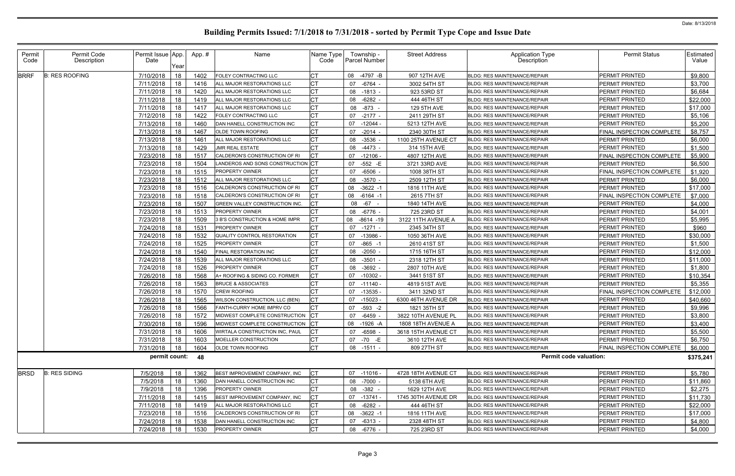| Permit<br>Code | Permit Code<br>Description | Permit Issue App.<br>Date<br>Year | App.# | Name                              | Name Type<br>Code | Township -<br><b>Parcel Number</b> | <b>Street Address</b> | <b>Application Type</b><br>Description | <b>Permit Status</b>             | Estimated<br>Value |
|----------------|----------------------------|-----------------------------------|-------|-----------------------------------|-------------------|------------------------------------|-----------------------|----------------------------------------|----------------------------------|--------------------|
| <b>BRRF</b>    | <b>B: RES ROOFING</b>      | 7/10/2018<br>18                   | 1402  | FOLEY CONTRACTING LLC             |                   | 08 -4797 -B                        | 907 12TH AVE          | BLDG: RES MAINTENANCE/REPAIR           | <b>PERMIT PRINTED</b>            | \$9,800            |
|                |                            | 18<br>7/11/2018                   | 1416  | ALL MAJOR RESTORATIONS LLC        | СT                | 07<br>-6764 -                      | 3002 54TH ST          | <b>BLDG: RES MAINTENANCE/REPAIR</b>    | PERMIT PRINTED                   | \$3,700            |
|                |                            | 7/11/2018<br>18                   | 1420  | ALL MAJOR RESTORATIONS LLC        | <b>CT</b>         | 08 -1813 -                         | 923 53RD ST           | <b>BLDG: RES MAINTENANCE/REPAIR</b>    | PERMIT PRINTED                   | \$6,684            |
|                |                            | 7/11/2018<br>18                   | 1419  | ALL MAJOR RESTORATIONS LLC        | СT                | 08 -6282 -                         | 444 46TH ST           | <b>BLDG: RES MAINTENANCE/REPAIR</b>    | PERMIT PRINTED                   | \$22,000           |
|                |                            | 18<br>7/11/2018                   | 1417  | ALL MAJOR RESTORATIONS LLC        | <b>CT</b>         | 08 -873 -                          | 129 5TH AVE           | <b>BLDG: RES MAINTENANCE/REPAIR</b>    | PERMIT PRINTED                   | \$17,000           |
|                |                            | 18<br>7/12/2018                   | 1422  | FOLEY CONTRACTING LLC             |                   | $-2177 -$<br>07                    | 2411 29TH ST          | <b>BLDG: RES MAINTENANCE/REPAIR</b>    | PERMIT PRINTED                   | \$5,106            |
|                |                            | 18<br>7/13/2018                   | 1460  | DAN HANELL CONSTRUCTION INC       | СT                | 07<br>-12044                       | 5213 12TH AVE         | <b>BLDG: RES MAINTENANCE/REPAIR</b>    | PERMIT PRINTED                   | \$5,200            |
|                |                            | 7/13/2018<br>18                   | 1467  | OLDE TOWN ROOFING                 | <b>CT</b>         | $-2014$ -<br>07                    | 2340 30TH ST          | <b>BLDG: RES MAINTENANCE/REPAIR</b>    | FINAL INSPECTION COMPLETE        | \$8,757            |
|                |                            | 18<br>7/13/2018                   | 1461  | ALL MAJOR RESTORATIONS LLC        | СT                | 08 -3536                           | 1100 25TH AVENUE CT   | <b>BLDG: RES MAINTENANCE/REPAIR</b>    | PERMIT PRINTED                   | \$6,000            |
|                |                            | 7/13/2018<br>18                   | 1429  | JMR REAL ESTATE                   |                   | $-4473$<br>08                      | 314 15TH AVE          | BLDG: RES MAINTENANCE/REPAIR           | PERMIT PRINTED                   | \$1,500            |
|                |                            | 7/23/2018<br>18                   | 1517  | CALDERON'S CONSTRUCTION OF RI     | CT.               | 07<br>-12106 -                     | 4807 12TH AVE         | <b>BLDG: RES MAINTENANCE/REPAIR</b>    | FINAL INSPECTION COMPLETE        | \$5,900            |
|                |                            | 7/23/2018<br>18                   | 1504  | LANDEROS AND SONS CONSTRUCTION CT |                   | 07 -552 -E                         | 3721 33RD AVE         | <b>BLDG: RES MAINTENANCE/REPAIR</b>    | <b>PERMIT PRINTED</b>            | \$6,500            |
|                |                            | 7/23/2018<br>18                   | 1515  | <b>PROPERTY OWNER</b>             | <b>CT</b>         | 07 -6506 -                         | 1008 38TH ST          | <b>BLDG: RES MAINTENANCE/REPAIR</b>    | FINAL INSPECTION COMPLETE        | \$1,920            |
|                |                            | 18<br>7/23/2018                   | 1512  | ALL MAJOR RESTORATIONS LLC        | СT                | 08 -3570                           | 2509 12TH ST          | <b>BLDG: RES MAINTENANCE/REPAIR</b>    | <b>PERMIT PRINTED</b>            | \$6,000            |
|                |                            | 18<br>7/23/2018                   | 1516  | CALDERON'S CONSTRUCTION OF RI     | <b>CT</b>         | $-3622 -1$<br>08                   | 1816 11TH AVE         | <b>BLDG: RES MAINTENANCE/REPAIR</b>    | PERMIT PRINTED                   | \$17,000           |
|                |                            | 18<br>7/23/2018                   | 1518  | CALDERON'S CONSTRUCTION OF RI     | СT                | 08 -6164 -1                        | 2615 7TH ST           | <b>BLDG: RES MAINTENANCE/REPAIR</b>    | FINAL INSPECTION COMPLETE        | \$7,000            |
|                |                            | 7/23/2018<br>18                   | 1507  | GREEN VALLEY CONSTRUCTION INC.    |                   | 08 -67                             | 1840 14TH AVE         | <b>BLDG: RES MAINTENANCE/REPAIR</b>    | PERMIT PRINTED                   | \$4,000            |
|                |                            | 18<br>7/23/2018                   | 1513  | PROPERTY OWNER                    | <b>CT</b>         | 08 - 6776 -                        | 725 23RD ST           | <b>BLDG: RES MAINTENANCE/REPAIR</b>    | PERMIT PRINTED                   | \$4,001            |
|                |                            | 7/23/2018<br>18                   | 1509  | 3 B'S CONSTRUCTION & HOME IMPR    |                   | 08<br>$-8614 - 19$                 | 3122 11TH AVENUE A    | <b>BLDG: RES MAINTENANCE/REPAIR</b>    | <b>PERMIT PRINTED</b>            | \$5,995            |
|                |                            | 18<br>7/24/2018                   | 153'  | PROPERTY OWNER                    | СT                | 07<br>-1271 -                      | 2345 34TH ST          | <b>BLDG: RES MAINTENANCE/REPAIR</b>    | PERMIT PRINTED                   | \$960              |
|                |                            | 7/24/2018<br>18                   | 1532  | QUALITY CONTROL RESTORATION       | CT.               | 07 -13986 -                        | 1050 36TH AVE         | <b>BLDG: RES MAINTENANCE/REPAIR</b>    | PERMIT PRINTED                   | \$30,000           |
|                |                            | 18<br>7/24/2018                   | 1525  | <b>PROPERTY OWNER</b>             | <b>CT</b>         | 07<br>$-865 - 1$                   | 2610 41ST ST          | <b>BLDG: RES MAINTENANCE/REPAIR</b>    | PERMIT PRINTED                   | \$1,500            |
|                |                            | 18<br>7/24/2018                   | 1540  | FINAL RESTORATION INC             | СT                | 08 -2050                           | 1715 16TH ST          | <b>BLDG: RES MAINTENANCE/REPAIR</b>    | PERMIT PRINTED                   | \$12,000           |
|                |                            | 18<br>7/24/2018                   | 1539  | ALL MAJOR RESTORATIONS LLC        | <b>CT</b>         | $-3501$<br>08                      | 2318 12TH ST          | <b>BLDG: RES MAINTENANCE/REPAIR</b>    | PERMIT PRINTED                   | \$11,000           |
|                |                            | 18<br>7/24/2018                   | 1526  | PROPERTY OWNER                    | СT                | 08 -3692 -                         | 2807 10TH AVE         | <b>BLDG: RES MAINTENANCE/REPAIR</b>    | PERMIT PRINTED                   | \$1,800            |
|                |                            | 7/26/2018<br>18                   | 1568  | A+ ROOFING & SIDING CO. FORMER    | CT.               | 07<br>$-10302$ $-$                 | 3441 51ST ST          | <b>BLDG: RES MAINTENANCE/REPAIR</b>    | <b>PERMIT PRINTED</b>            | \$10,354           |
|                |                            | 18<br>7/26/2018                   | 1563  | <b>BRUCE &amp; ASSOCIATES</b>     |                   | 07<br>۰ 11140-                     | 4819 51ST AVE         | <b>BLDG: RES MAINTENANCE/REPAIR</b>    | PERMIT PRINTED                   | \$5,355            |
|                |                            | 18<br>7/26/2018                   | 1570  | <b>CREW ROOFING</b>               | <b>CT</b>         | 07<br>$-13535$                     | 3411 32ND ST          | <b>BLDG: RES MAINTENANCE/REPAIR</b>    | FINAL INSPECTION COMPLETE        | \$12,000           |
|                |                            | 7/26/2018<br>18                   | 1565  | WILSON CONSTRUCTION, LLC (BEN)    | <b>CT</b>         | $-15023$<br>07                     | 6300 46TH AVENUE DR   | <b>BLDG: RES MAINTENANCE/REPAIR</b>    | PERMIT PRINTED                   | \$40,660           |
|                |                            | 7/26/2018<br>18                   | 1566  | FANTH-CURRY HOME IMPRV CO         | CT.               | 07 -593 -2                         | 1821 35TH ST          | <b>BLDG: RES MAINTENANCE/REPAIR</b>    | PERMIT PRINTED                   | \$9,996            |
|                |                            | 7/26/2018 18                      | 1572  | MIDWEST COMPLETE CONSTRUCTION CT  |                   | 07 -6459                           | 3822 10TH AVENUE PL   | BLDG: RES MAINTENANCE/REPAIR           | PERMIT PRINTED                   | \$3,800            |
|                |                            | 18<br>7/30/2018                   | 1596  | MIDWEST COMPLETE CONSTRUCTION     | ICT               | 08 -1926 -A                        | 1808 18TH AVENUE A    | <b>BLDG: RES MAINTENANCE/REPAIR</b>    | PERMIT PRINTED                   | \$3,400            |
|                |                            | 18<br>7/31/2018                   | 1606  | WIRTALA CONSTRUCTION INC, PAUL    | СT                | 07 -6598 -                         | 3618 15TH AVENUE CT   | <b>BLDG: RES MAINTENANCE/REPAIR</b>    | PERMIT PRINTED                   | \$5,500            |
|                |                            | 18<br>7/31/2018                   | 1603  | MOELLER CONSTRUCTION              | <b>CT</b>         | 07 -70 -E                          | 3610 12TH AVE         | BLDG: RES MAINTENANCE/REPAIR           | PERMIT PRINTED                   | \$6,750            |
|                |                            | 7/31/2018<br>18                   | 1604  | OLDE TOWN ROOFING                 | <b>CT</b>         | 08 -1511 -                         | 809 27TH ST           | <b>BLDG: RES MAINTENANCE/REPAIR</b>    | <b>FINAL INSPECTION COMPLETE</b> | \$6,000            |
|                |                            | permit count: 48                  |       |                                   |                   |                                    |                       | <b>Permit code valuation:</b>          |                                  | \$375,241          |
| <b>BRSD</b>    | <b>B: RES SIDING</b>       | 7/5/2018<br>18                    | 1362  | BEST IMPROVEMENT COMPANY, INC     | CT.               | 07 -11016 -                        | 4728 18TH AVENUE CT   | <b>BLDG: RES MAINTENANCE/REPAIR</b>    | PERMIT PRINTED                   | \$5,780            |
|                |                            | 18<br>7/5/2018                    | 1360  | DAN HANELL CONSTRUCTION INC       | СT                | 08 -7000 -                         | 5138 6TH AVE          | <b>BLDG: RES MAINTENANCE/REPAIR</b>    | PERMIT PRINTED                   | \$11,860           |
|                |                            | 18<br>7/9/2018                    | 1396  | <b>PROPERTY OWNER</b>             | СT                | 08 - 382 -                         | 1629 12TH AVE         | <b>BLDG: RES MAINTENANCE/REPAIR</b>    | PERMIT PRINTED                   | \$2,275            |
|                |                            | 18<br>7/11/2018                   | 1415  | BEST IMPROVEMENT COMPANY, INC     | <b>CT</b>         | 07 -13741 -                        | 1745 30TH AVENUE DR   | <b>BLDG: RES MAINTENANCE/REPAIR</b>    | PERMIT PRINTED                   | \$11,730           |
|                |                            | 7/11/2018<br>18                   | 1419  | ALL MAJOR RESTORATIONS LLC        | <b>CT</b>         | 08 -6282 -                         | 444 46TH ST           | BLDG: RES MAINTENANCE/REPAIR           | PERMIT PRINTED                   | \$22,000           |
|                |                            | 7/23/2018<br>18                   | 1516  | CALDERON'S CONSTRUCTION OF RI     | <b>CT</b>         | 08 -3622 -1                        | 1816 11TH AVE         | BLDG: RES MAINTENANCE/REPAIR           | PERMIT PRINTED                   | \$17,000           |
|                |                            | 7/24/2018<br>18                   | 1538  | DAN HANELL CONSTRUCTION INC       | СT                | 07 -6313 -                         | 2328 48TH ST          | <b>BLDG: RES MAINTENANCE/REPAIR</b>    | PERMIT PRINTED                   | \$4,800            |
|                |                            | 7/24/2018<br>18                   | 1530  | <b>PROPERTY OWNER</b>             | <b>CT</b>         | 08 -6776 -                         | 725 23RD ST           | BLDG: RES MAINTENANCE/REPAIR           | PERMIT PRINTED                   | \$4,000            |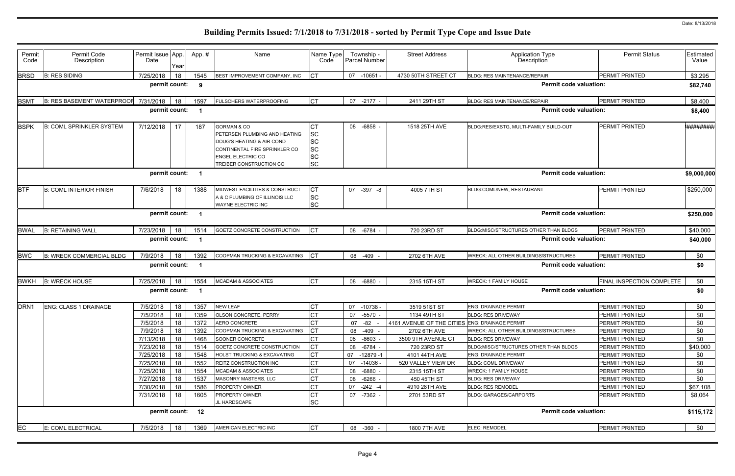| Type<br>on                    | <b>Permit Status</b>      | Estimated<br>Value |
|-------------------------------|---------------------------|--------------------|
| AIR                           | PERMIT PRINTED            | \$3,295            |
| <b>Permit code valuation:</b> |                           | \$82,740           |
| AIR                           | PERMIT PRINTED            | \$8,400            |
| <b>Permit code valuation:</b> |                           | \$8,400            |
| Y BUILD-OUT                   | PERMIT PRINTED            | <b>*#########</b>  |
| <b>Permit code valuation:</b> |                           | \$9,000,000        |
| T                             | PERMIT PRINTED            | \$250,000          |
|                               |                           |                    |
| <b>Permit code valuation:</b> |                           | \$250,000          |
| ER THAN BLDGS                 | PERMIT PRINTED            | \$40,000           |
| <b>Permit code valuation:</b> |                           | \$40,000           |
| <b>STRUCTURES</b>             | PERMIT PRINTED            | \$0                |
| <b>Permit code valuation:</b> |                           | \$0                |
|                               | FINAL INSPECTION COMPLETE | \$0                |
| <b>Permit code valuation:</b> |                           | \$0                |
|                               | PERMIT PRINTED            | \$0                |
|                               | PERMIT PRINTED            | \$0                |
|                               | PERMIT PRINTED            | \$0                |
| <b>STRUCTURES</b>             | PERMIT PRINTED            | \$0                |
|                               | PERMIT PRINTED            | \$0                |
| ER THAN BLDGS                 | PERMIT PRINTED            | \$40,000           |
|                               | PERMIT PRINTED            | \$0                |
|                               | PERMIT PRINTED            | \$0                |
|                               | PERMIT PRINTED            | \$0                |
|                               | PERMIT PRINTED            | \$0                |
|                               | PERMIT PRINTED            | \$67,108           |
|                               | PERMIT PRINTED            | \$8,064            |
| <b>Permit code valuation:</b> |                           | \$115,172          |
|                               | PERMIT PRINTED            | \$0                |

| Permit<br>Code   | Permit Code<br>Description        | Permit Issue App.<br>Date | Year     | App.#                    | Name                                                                                                                                                                         | Name Type<br>Code                                             | Township -<br>Parcel Number | <b>Street Address</b>                          | <b>Application Type</b><br>Description                               | <b>Permit Status</b>             | Estimated<br>Value |
|------------------|-----------------------------------|---------------------------|----------|--------------------------|------------------------------------------------------------------------------------------------------------------------------------------------------------------------------|---------------------------------------------------------------|-----------------------------|------------------------------------------------|----------------------------------------------------------------------|----------------------------------|--------------------|
| <b>BRSD</b>      | <b>B: RES SIDING</b>              | 7/25/2018                 | 18       | 1545                     | BEST IMPROVEMENT COMPANY, INC                                                                                                                                                | <b>CT</b>                                                     | 07 -10651 -                 | 4730 50TH STREET CT                            | <b>BLDG: RES MAINTENANCE/REPAIR</b>                                  | PERMIT PRINTED                   | \$3,295            |
|                  |                                   | permit count:             |          | 9                        |                                                                                                                                                                              |                                                               |                             |                                                | <b>Permit code valuation:</b>                                        |                                  | \$82,740           |
| <b>BSM</b>       | <b>B: RES BASEMENT WATERPROOF</b> | 7/31/2018                 | 18       | 1597                     | <b>FULSCHERS WATERPROOFING</b>                                                                                                                                               | <b>CT</b>                                                     | 07<br>$-2177 -$             | 2411 29TH ST                                   | <b>BLDG: RES MAINTENANCE/REPAIR</b>                                  | PERMIT PRINTED                   | \$8,400            |
|                  |                                   | permit count:             |          |                          |                                                                                                                                                                              |                                                               |                             |                                                | <b>Permit code valuation:</b>                                        |                                  | \$8,400            |
| <b>BSPK</b>      | <b>B: COML SPRINKLER SYSTEM</b>   | 7/12/2018                 | 17       | 187                      | <b>GORMAN &amp; CO</b><br>PETERSEN PLUMBING AND HEATING<br>DOUG'S HEATING & AIR COND<br>CONTINENTAL FIRE SPRINKLER CO<br><b>ENGEL ELECTRIC CO</b><br>TREIBER CONSTRUCTION CO | <b>SC</b><br><b>SC</b><br><b>SC</b><br><b>SC</b><br><b>SC</b> | 08 -6858                    | 1518 25TH AVE                                  | BLDG:RES/EXSTG, MULTI-FAMILY BUILD-OUT                               | PERMIT PRINTED                   | *#########         |
|                  |                                   | permit count:             |          |                          |                                                                                                                                                                              |                                                               |                             |                                                | <b>Permit code valuation:</b>                                        |                                  | \$9,000,000        |
| <b>BTF</b>       | <b>B: COML INTERIOR FINISH</b>    | 7/6/2018                  | 18       | 1388                     | MIDWEST FACILITIES & CONSTRUCT<br>A & C PLUMBING OF ILLINOIS LLC<br><b>WAYNE ELECTRIC INC</b>                                                                                | <b>CT</b><br><b>SC</b><br><b>SC</b>                           | 07 -397 -8                  | 4005 7TH ST                                    | <b>BLDG:COML/NEW. RESTAURANT</b>                                     | <b>PERMIT PRINTED</b>            | \$250,000          |
|                  |                                   | permit count:             |          | -1                       |                                                                                                                                                                              |                                                               |                             |                                                | <b>Permit code valuation:</b>                                        |                                  | \$250,000          |
| <b>BWAL</b>      | <b>B: RETAINING WALL</b>          | 7/23/2018                 | 18       | 1514                     | GOETZ CONCRETE CONSTRUCTION                                                                                                                                                  | <b>ICT</b>                                                    | 08 -6784 -                  | 720 23RD ST                                    | BLDG:MISC/STRUCTURES OTHER THAN BLDGS                                | PERMIT PRINTED                   | \$40,000           |
|                  |                                   | permit count:             |          |                          |                                                                                                                                                                              |                                                               |                             |                                                | <b>Permit code valuation:</b>                                        |                                  | \$40,000           |
| <b>BWC</b>       | <b>B: WRECK COMMERCIAL BLDG</b>   | 7/9/2018                  | 18       | 1392                     | COOPMAN TRUCKING & EXCAVATING                                                                                                                                                | CT                                                            | 08 -409                     | 2702 6TH AVE                                   | <b>WRECK: ALL OTHER BUILDINGS/STRUCTURES</b>                         | PERMIT PRINTED                   | \$0                |
|                  |                                   | permit count:             |          |                          |                                                                                                                                                                              |                                                               |                             |                                                | <b>Permit code valuation:</b>                                        |                                  | \$0                |
| <b>BWKH</b>      | <b>B: WRECK HOUSE</b>             | 7/25/2018                 | 18       | 1554                     | <b>MCADAM &amp; ASSOCIATES</b>                                                                                                                                               | Iст                                                           | 08 -6880                    | 2315 15TH ST                                   | <b>NRECK: 1 FAMILY HOUSE</b>                                         | FINAL INSPECTION COMPLETE        | \$0                |
|                  |                                   | permit count:             |          | $\overline{\phantom{a}}$ |                                                                                                                                                                              |                                                               |                             |                                                | <b>Permit code valuation:</b>                                        |                                  | \$0                |
| DRN <sub>1</sub> | <b>ENG: CLASS 1 DRAINAGE</b>      | 7/5/2018                  | 18       | 1357                     | <b>NEW LEAF</b>                                                                                                                                                              |                                                               | 07<br>$-10738$              | 3519 51ST ST                                   | <b>ENG: DRAINAGE PERMIT</b>                                          | PERMIT PRINTED                   | \$0                |
|                  |                                   | 7/5/2018                  | 18       | 1359                     | <b>OLSON CONCRETE, PERRY</b>                                                                                                                                                 | <b>CT</b>                                                     | -5570 -<br>07               | 1134 49TH ST                                   | <b>BLDG: RES DRIVEWAY</b>                                            | PERMIT PRINTED                   | \$0                |
|                  |                                   | 7/5/2018                  | 18       | 1372                     | AERO CONCRETE                                                                                                                                                                | <b>CT</b>                                                     | 07 - 82 -                   | 4161 AVENUE OF THE CITIES ENG: DRAINAGE PERMIT |                                                                      | PERMIT PRINTED                   | \$0                |
|                  |                                   | 7/9/2018                  | 18       | 1392                     | COOPMAN TRUCKING & EXCAVATING                                                                                                                                                | <b>CT</b>                                                     | 08 -409 -                   | 2702 6TH AVE                                   | <b>WRECK: ALL OTHER BUILDINGS/STRUCTURES</b>                         | PERMIT PRINTED                   | \$0                |
|                  |                                   | 7/13/2018                 | 18       | 1468                     | SOONER CONCRETE                                                                                                                                                              | <b>CT</b>                                                     | 08 -8603 -                  | 3500 9TH AVENUE CT                             | <b>BLDG: RES DRIVEWAY</b>                                            | PERMIT PRINTED                   | \$0                |
|                  |                                   | 7/23/2018<br>7/25/2018    | 18<br>18 | 1514<br>1548             | GOETZ CONCRETE CONSTRUCTION<br>HOLST TRUCKING & EXCAVATING                                                                                                                   | СT<br><b>CT</b>                                               | 08 -6784 -<br>07 -12879 -1  | 720 23RD ST<br>4101 44TH AVE                   | BLDG:MISC/STRUCTURES OTHER THAN BLDGS<br><b>ENG: DRAINAGE PERMIT</b> | PERMIT PRINTED<br>PERMIT PRINTED | \$40,000<br>\$0    |
|                  |                                   | 7/25/2018                 | 18       | 1552                     | <b>REITZ CONSTRUCTION INC</b>                                                                                                                                                | <b>CT</b>                                                     | 07 -14036 -                 | 520 VALLEY VIEW DR                             | <b>BLDG: COML DRIVEWAY</b>                                           | PERMIT PRINTED                   | \$0                |
|                  |                                   | 7/25/2018                 | 18       | 1554                     | <b>MCADAM &amp; ASSOCIATES</b>                                                                                                                                               |                                                               | 08 -6880 -                  | 2315 15TH ST                                   | <b>WRECK: 1 FAMILY HOUSE</b>                                         | PERMIT PRINTED                   | \$0                |
|                  |                                   | 7/27/2018                 | 18       | 1537                     | MASONRY MASTERS, LLC                                                                                                                                                         | <b>CT</b>                                                     | 08 -6266 -                  | 450 45TH ST                                    | <b>BLDG: RES DRIVEWAY</b>                                            | PERMIT PRINTED                   | \$0                |
|                  |                                   | 7/30/2018                 | 18       | 1586                     | <b>PROPERTY OWNER</b>                                                                                                                                                        | <b>CT</b>                                                     | 07 -242 -4                  | 4910 28TH AVE                                  | <b>BLDG: RES REMODEL</b>                                             | PERMIT PRINTED                   | \$67,108           |
|                  |                                   | 7/31/2018                 | 18       | 1605                     | PROPERTY OWNER                                                                                                                                                               | <b>CT</b>                                                     | 07 -7362 -                  | 2701 53RD ST                                   | <b>BLDG: GARAGES/CARPORTS</b>                                        | PERMIT PRINTED                   | \$8,064            |
|                  |                                   | permit count: 12          |          |                          | JL HARDSCAPE                                                                                                                                                                 | SC                                                            |                             |                                                | <b>Permit code valuation:</b>                                        |                                  | \$115,172          |
|                  | <b>E: COML ELECTRICAL</b>         |                           |          | 1369                     | AMERICAN ELECTRIC INC                                                                                                                                                        | <b>CT</b>                                                     |                             |                                                | ELEC: REMODEL                                                        | PERMIT PRINTED                   |                    |
| EC               |                                   | 7/5/2018                  | 18       |                          |                                                                                                                                                                              |                                                               | 08 -360 -                   | 1800 7TH AVE                                   |                                                                      |                                  | \$0                |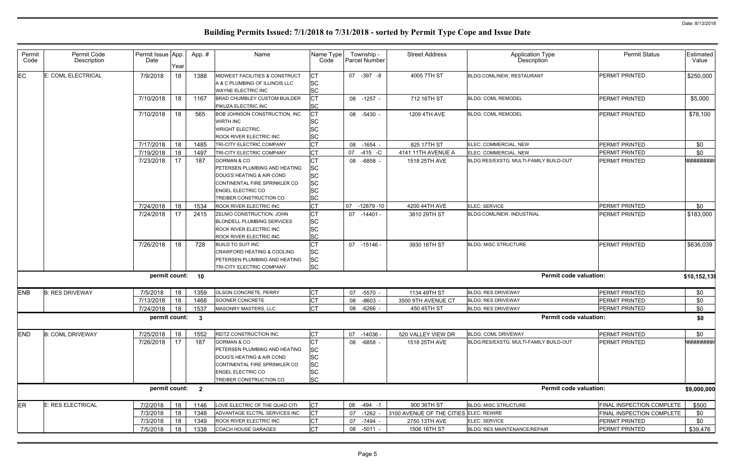| Permit     | Permit Code             | Permit Issue App. |          | App.#                   | Name                                                 | Name Type              |    | Township -    | <b>Street Address</b>                  | <b>Application Type</b>                | <b>Permit Status</b>      | Estimated    |
|------------|-------------------------|-------------------|----------|-------------------------|------------------------------------------------------|------------------------|----|---------------|----------------------------------------|----------------------------------------|---------------------------|--------------|
| Code       | Description             | Date              | Year     |                         |                                                      | Code                   |    | Parcel Number |                                        | Description                            |                           | Value        |
|            |                         |                   |          |                         |                                                      |                        |    |               |                                        |                                        |                           |              |
| <b>EC</b>  | E: COML ELECTRICAL      | 7/9/2018          | 18       | 1388                    | MIDWEST FACILITIES & CONSTRUCT                       | <b>SC</b>              |    | 07 - 397 - 8  | 4005 7TH ST                            | BLDG:COML/NEW, RESTAURANT              | <b>PERMIT PRINTED</b>     | \$250,000    |
|            |                         |                   |          |                         | A & C PLUMBING OF ILLINOIS LLC<br>WAYNE ELECTRIC INC | <b>SC</b>              |    |               |                                        |                                        |                           |              |
|            |                         |                   |          |                         |                                                      |                        |    |               |                                        |                                        |                           |              |
|            |                         | 7/10/2018         | 18       | 1167                    | <b>BRAD CHUMBLEY CUSTOM BUILDER</b>                  |                        |    | 08 -1257 -    | 712 16TH ST                            | <b>BLDG: COML REMODEL</b>              | PERMIT PRINTED            | \$5,000      |
|            |                         |                   |          |                         | PIKUZA ELECTRIC INC                                  | <b>SC</b>              |    |               |                                        |                                        |                           |              |
|            |                         | 7/10/2018         | 18       | 565                     | BOB JOHNSON CONSTRUCTION, INC                        | <b>CT</b>              |    | 08 -5430 -    | 1209 4TH AVE                           | <b>BLDG: COML REMODEL</b>              | PERMIT PRINTED            | \$78,100     |
|            |                         |                   |          |                         | <b>WIRTH INC</b>                                     | SC                     |    |               |                                        |                                        |                           |              |
|            |                         |                   |          |                         | <b>WRIGHT ELECTRIC</b>                               | <b>SC</b>              |    |               |                                        |                                        |                           |              |
|            |                         |                   |          |                         | ROCK RIVER ELECTRIC INC                              | <b>SC</b>              |    |               |                                        |                                        |                           |              |
|            |                         | 7/17/2018         | 18       | 1485                    | TRI-CITY ELECTRIC COMPANY                            | <b>CT</b>              | 08 | -1654 -       | 825 17TH ST                            | ELEC: COMMERCIAL, NEW                  | PERMIT PRINTED            | \$0          |
|            |                         | 7/19/2018         | 18       | 1497                    | TRI-CITY ELECTRIC COMPANY                            | <b>CT</b>              | 07 | $-415$ -C     | 4141 11TH AVENUE A                     | ELEC: COMMERCIAL, NEW                  | PERMIT PRINTED            | \$0          |
|            |                         | 7/23/2018         | 17       | 187                     | <b>GORMAN &amp; CO</b>                               | <b>CT</b>              |    | 08 -6858 -    | 1518 25TH AVE                          | BLDG:RES/EXSTG, MULTI-FAMILY BUILD-OUT | PERMIT PRINTED            | *#########   |
|            |                         |                   |          |                         | PETERSEN PLUMBING AND HEATING                        | <b>SC</b>              |    |               |                                        |                                        |                           |              |
|            |                         |                   |          |                         | DOUG'S HEATING & AIR COND                            | <b>SC</b>              |    |               |                                        |                                        |                           |              |
|            |                         |                   |          |                         | CONTINENTAL FIRE SPRINKLER CO                        | <b>SC</b>              |    |               |                                        |                                        |                           |              |
|            |                         |                   |          |                         | <b>ENGEL ELECTRIC CO</b>                             | <b>SC</b>              |    |               |                                        |                                        |                           |              |
|            |                         |                   |          |                         | TREIBER CONSTRUCTION CO                              | <b>SC</b>              |    |               |                                        |                                        |                           |              |
|            |                         | 7/24/2018         | 18       | 1534                    | ROCK RIVER ELECTRIC INC                              | <b>CT</b>              | 07 | $-12879 - 10$ | 4200 44TH AVE                          | ELEC: SERVICE                          | <b>PERMIT PRINTED</b>     | \$0          |
|            |                         | 7/24/2018         | 17       | 2415                    | ZELNIO CONSTRUCTION, JOHN                            | СT                     | 07 | -14401 -      | 3810 29TH ST                           | <b>BLDG:COML/NEW, INDUSTRIAL</b>       | PERMIT PRINTED            | \$183,000    |
|            |                         |                   |          |                         | <b>BLONDELL PLUMBING SERVICES</b>                    | <b>SC</b>              |    |               |                                        |                                        |                           |              |
|            |                         |                   |          |                         | <b>ROCK RIVER ELECTRIC INC</b>                       | <b>SC</b>              |    |               |                                        |                                        |                           |              |
|            |                         |                   |          |                         | <b>ROCK RIVER ELECTRIC INC</b>                       | <b>SC</b>              |    |               |                                        |                                        |                           |              |
|            |                         | 7/26/2018         | 18       | 728                     | <b>BUILD TO SUIT INC</b>                             |                        |    | 07 -15146 -   | 3930 16TH ST                           | <b>BLDG: MISC STRUCTURE</b>            | PERMIT PRINTED            | \$636,039    |
|            |                         |                   |          |                         | CRAWFORD HEATING & COOLING                           | <b>SC</b>              |    |               |                                        |                                        |                           |              |
|            |                         |                   |          |                         | PETERSEN PLUMBING AND HEATING                        | <b>SC</b>              |    |               |                                        |                                        |                           |              |
|            |                         |                   |          |                         | TRI-CITY ELECTRIC COMPANY                            | <b>SC</b>              |    |               |                                        |                                        |                           |              |
|            |                         | permit count:     |          | 10                      |                                                      |                        |    |               |                                        | <b>Permit code valuation:</b>          |                           | \$10,152,139 |
|            |                         |                   |          |                         |                                                      |                        |    |               |                                        |                                        |                           |              |
| <b>ENB</b> | <b>B: RES DRIVEWAY</b>  | 7/5/2018          | 18       | 1359                    | <b>OLSON CONCRETE, PERRY</b>                         | IСТ                    | 07 | -5570 -       | 1134 49TH ST                           | <b>BLDG: RES DRIVEWAY</b>              | PERMIT PRINTED            | \$0          |
|            |                         | 7/13/2018         | 18       | 1468                    | SOONER CONCRETE                                      | СT                     | 08 | $-8603$       | 3500 9TH AVENUE CT                     | <b>BLDG: RES DRIVEWAY</b>              | PERMIT PRINTED            | \$0          |
|            |                         | 7/24/2018         | 18       | 1537                    | <b>MASONRY MASTERS, LLC</b>                          | Iст                    | 08 | -6266         | 450 45TH ST                            | <b>BLDG: RES DRIVEWAY</b>              | PERMIT PRINTED            | \$0          |
|            |                         |                   |          |                         |                                                      |                        |    |               |                                        | <b>Permit code valuation:</b>          |                           |              |
|            |                         | permit count:     |          | - 3                     |                                                      |                        |    |               |                                        |                                        |                           | \$0          |
| <b>END</b> | <b>B: COML DRIVEWAY</b> | 7/25/2018         |          | 1552                    | <b>REITZ CONSTRUCTION INC</b>                        | CT                     |    | 07 -14036 -   | 520 VALLEY VIEW DR                     | <b>BLDG: COML DRIVEWAY</b>             | PERMIT PRINTED            | \$0          |
|            |                         |                   | 18<br>17 | 187                     | <b>GORMAN &amp; CO</b>                               | <b>CT</b>              |    | 08 -6858 -    | 1518 25TH AVE                          | BLDG:RES/EXSTG, MULTI-FAMILY BUILD-OUT | PERMIT PRINTED            | *########    |
|            |                         | 7/26/2018         |          |                         | PETERSEN PLUMBING AND HEATING                        | <b>SC</b>              |    |               |                                        |                                        |                           |              |
|            |                         |                   |          |                         |                                                      |                        |    |               |                                        |                                        |                           |              |
|            |                         |                   |          |                         | DOUG'S HEATING & AIR COND                            | <b>SC</b>              |    |               |                                        |                                        |                           |              |
|            |                         |                   |          |                         | CONTINENTAL FIRE SPRINKLER CO                        | <b>SC</b>              |    |               |                                        |                                        |                           |              |
|            |                         |                   |          |                         | <b>ENGEL ELECTRIC CO</b>                             | <b>SC</b><br><b>SC</b> |    |               |                                        |                                        |                           |              |
|            |                         |                   |          |                         | TREIBER CONSTRUCTION CO                              |                        |    |               |                                        |                                        |                           |              |
|            |                         | permit count:     |          | $\overline{\mathbf{2}}$ |                                                      |                        |    |               |                                        | <b>Permit code valuation:</b>          |                           | \$9,000,000  |
| <b>ER</b>  | E: RES ELECTRICAL       | 7/2/2018          | 18       | 1146                    | LOVE ELECTRIC OF THE QUAD CITI                       | <b>CT</b>              | 08 | -494 -1       | 900 36TH ST                            | <b>BLDG: MISC STRUCTURE</b>            | FINAL INSPECTION COMPLETE | \$500        |
|            |                         | 7/3/2018          | 18       | 1348                    | ADVANTAGE ELCTRL SERVICES INC                        | <b>CT</b>              | 07 | $-1262$ -     | 3100 AVENUE OF THE CITIES ELEC: REWIRE |                                        | FINAL INSPECTION COMPLETE | \$0          |
|            |                         | 7/3/2018          | 18       | 1349                    | ROCK RIVER ELECTRIC INC                              | <b>CT</b>              |    | 07 -7494 -    | 2750 13TH AVE                          | ELEC: SERVICE                          | PERMIT PRINTED            | \$0          |
|            |                         |                   |          |                         |                                                      | IСТ                    |    |               |                                        |                                        |                           |              |
|            |                         | 7/5/2018          | 18       | 1338                    | <b>COACH HOUSE GARAGES</b>                           |                        |    | 08 -5011 -    | 1506 16TH ST                           | BLDG: RES MAINTENANCE/REPAIR           | PERMIT PRINTED            | \$39,476     |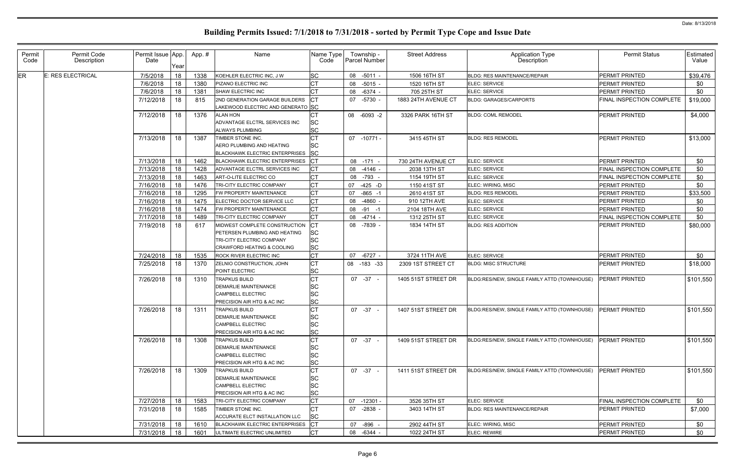| Permit<br>Code | Permit Code<br>Description | Permit Issue App.<br>Date | Year | App.# | Name                                                                                                                                 | Name Type<br>Code                                |    | Township -<br>Parcel Number | <b>Street Address</b> | <b>Application Type</b><br>Description       | <b>Permit Status</b>      | <b>Estimated</b><br>Value |
|----------------|----------------------------|---------------------------|------|-------|--------------------------------------------------------------------------------------------------------------------------------------|--------------------------------------------------|----|-----------------------------|-----------------------|----------------------------------------------|---------------------------|---------------------------|
| ER             | E: RES ELECTRICAL          | 7/5/2018                  | 18   | 1338  | KOEHLER ELECTRIC INC, J W                                                                                                            | <b>SC</b>                                        |    | 08 -5011 -                  | 1506 16TH ST          | <b>BLDG: RES MAINTENANCE/REPAIR</b>          | PERMIT PRINTED            | \$39,476                  |
|                |                            | 7/6/2018                  | 18   | 1380  | PIZANO ELECTRIC INC                                                                                                                  | <b>CT</b>                                        | 08 | $-5015 -$                   | 1520 16TH ST          | ELEC: SERVICE                                | PERMIT PRINTED            | \$0                       |
|                |                            | 7/6/2018                  | 18   | 1381  | <b>SHAW ELECTRIC INC</b>                                                                                                             | IСТ                                              |    | 08 -6374 -                  | 705 25TH ST           | <b>ELEC: SERVICE</b>                         | PERMIT PRINTED            | \$0                       |
|                |                            | 7/12/2018                 | 18   | 815   | 2ND GENERATION GARAGE BUILDERS<br>LAKEWOOD ELECTRIC AND GENERATO SC                                                                  |                                                  |    | 07 -5730 -                  | 1883 24TH AVENUE CT   | <b>BLDG: GARAGES/CARPORTS</b>                | FINAL INSPECTION COMPLETE | \$19,000                  |
|                |                            | 7/12/2018                 | 18   | 1376  | <b>ALAN HON</b><br>ADVANTAGE ELCTRL SERVICES INC<br><b>ALWAYS PLUMBING</b>                                                           | <b>SC</b><br><b>SC</b>                           |    | 08 -6093 -2                 | 3326 PARK 16TH ST     | <b>BLDG: COML REMODEL</b>                    | PERMIT PRINTED            | \$4,000                   |
|                |                            | 7/13/2018                 | 18   | 1387  | TIMBER STONE INC.<br><b>AERO PLUMBING AND HEATING</b><br><b>BLACKHAWK ELECTRIC ENTERPRISES</b>                                       | SC<br><b>SC</b>                                  |    | 07 -10771 -                 | 3415 45TH ST          | <b>BLDG: RES REMODEL</b>                     | PERMIT PRINTED            | \$13,000                  |
|                |                            | 7/13/2018                 | 18   | 1462  | <b>BLACKHAWK ELECTRIC ENTERPRISES</b>                                                                                                |                                                  |    | 08 -171 -                   | 730 24TH AVENUE CT    | ELEC: SERVICE                                | PERMIT PRINTED            | \$0                       |
|                |                            | 7/13/2018                 | 18   | 1428  | ADVANTAGE ELCTRL SERVICES INC                                                                                                        | IСT                                              |    | 08 -4146 -                  | 2038 13TH ST          | ELEC: SERVICE                                | FINAL INSPECTION COMPLETE | \$0                       |
|                |                            | 7/13/2018                 | 18   | 1463  | ART-O-LITE ELECTRIC CO                                                                                                               | <b>CT</b>                                        |    | 08 -793                     | 1154 19TH ST          | ELEC: SERVICE                                | FINAL INSPECTION COMPLETE | \$0                       |
|                |                            | 7/16/2018                 | 18   | 1476  | TRI-CITY ELECTRIC COMPANY                                                                                                            | СT                                               | 07 | -425 -D                     | 1150 41ST ST          | ELEC: WIRING, MISC                           | PERMIT PRINTED            | \$0                       |
|                |                            | 7/16/2018                 | 18   | 1295  | FW PROPERTY MAINTENANCE                                                                                                              | <b>CT</b>                                        | 07 | $-865 - 1$                  | 2610 41ST ST          | <b>BLDG: RES REMODEL</b>                     | PERMIT PRINTED            | \$33,500                  |
|                |                            | 7/16/2018                 | 18   | 1475  | ELECTRIC DOCTOR SERVICE LLC                                                                                                          | <b>CT</b>                                        | 08 | -4860 -                     | 910 12TH AVE          | ELEC: SERVICE                                | PERMIT PRINTED            | \$0                       |
|                |                            | 7/16/2018                 | 18   | 1474  | FW PROPERTY MAINTENANCE                                                                                                              | <b>CT</b>                                        |    | 08 -91 -1                   | 2104 18TH AVE         | ELEC: SERVICE                                | PERMIT PRINTED            | \$0                       |
|                |                            | 7/17/2018                 | 18   | 1489  | TRI-CITY ELECTRIC COMPANY                                                                                                            | <b>CT</b>                                        |    | 08 -4714 -                  | 1312 25TH ST          | ELEC: SERVICE                                | FINAL INSPECTION COMPLETE | \$0                       |
|                |                            | 7/19/2018                 | 18   | 617   | MIDWEST COMPLETE CONSTRUCTION<br>PETERSEN PLUMBING AND HEATING<br>TRI-CITY ELECTRIC COMPANY<br><b>CRAWFORD HEATING &amp; COOLING</b> | <b>SC</b><br><b>SC</b><br><b>SC</b>              |    | 08 -7839 -                  | 1834 14TH ST          | <b>BLDG: RES ADDITION</b>                    | PERMIT PRINTED            | \$80,000                  |
|                |                            | 7/24/2018                 | 18   | 1535  | <b>ROCK RIVER ELECTRIC INC</b>                                                                                                       | <b>CT</b>                                        | 07 | $-6727 -$                   | 3724 11TH AVE         | ELEC: SERVICE                                | PERMIT PRINTED            | \$0                       |
|                |                            | 7/25/2018                 | 18   | 1370  | ZELNIO CONSTRUCTION, JOHN<br>POINT ELECTRIC                                                                                          | СT<br><b>SC</b>                                  |    | 08 -183 -33                 | 2309 1ST STREET CT    | <b>BLDG: MISC STRUCTURE</b>                  | PERMIT PRINTED            | \$18,000                  |
|                |                            | 7/26/2018                 | 18   | 1310  | <b>TRAPKUS BUILD</b><br><b>DEMARLIE MAINTENANCE</b><br>CAMPBELL ELECTRIC<br>PRECISION AIR HTG & AC INC                               | <b>SC</b><br><b>SC</b><br><b>SC</b>              |    | $07 - 37 -$                 | 1405 51ST STREET DR   | BLDG:RES/NEW, SINGLE FAMILY ATTD (TOWNHOUSE) | PERMIT PRINTED            | \$101,550                 |
|                |                            | 7/26/2018                 | 18   | 1311  | <b>TRAPKUS BUILD</b><br><b>DEMARLIE MAINTENANCE</b><br>CAMPBELL ELECTRIC<br>PRECISION AIR HTG & AC INC                               | <b>SC</b><br><b>SC</b><br><b>SC</b>              |    | $07 - 37 -$                 | 1407 51ST STREET DR   | BLDG:RES/NEW, SINGLE FAMILY ATTD (TOWNHOUSE) | PERMIT PRINTED            | \$101,550                 |
|                |                            | 7/26/2018                 | 18   | 1308  | <b>TRAPKUS BUILD</b><br><b>DEMARLIE MAINTENANCE</b><br>CAMPBELL ELECTRIC<br>PRECISION AIR HTG & AC INC                               | <b>CT</b><br>SC<br><b>SC</b><br><b>SC</b>        |    | $07 -37 -$                  | 1409 51ST STREET DR   | BLDG:RES/NEW, SINGLE FAMILY ATTD (TOWNHOUSE) | PERMIT PRINTED            | \$101,550                 |
|                |                            | 7/26/2018                 | 18   | 1309  | <b>TRAPKUS BUILD</b><br><b>DEMARLIE MAINTENANCE</b><br>CAMPBELL ELECTRIC<br>PRECISION AIR HTG & AC INC                               | <b>CT</b><br><b>SC</b><br><b>SC</b><br><b>SC</b> |    | $07 -37 -$                  | 1411 51ST STREET DR   | BLDG:RES/NEW, SINGLE FAMILY ATTD (TOWNHOUSE) | PERMIT PRINTED            | \$101,550                 |
|                |                            | 7/27/2018                 | 18   | 1583  | TRI-CITY ELECTRIC COMPANY                                                                                                            | <b>CT</b>                                        | 07 | $-12301 -$                  | 3526 35TH ST          | ELEC: SERVICE                                | FINAL INSPECTION COMPLETE | \$0                       |
|                |                            | 7/31/2018                 | 18   | 1585  | TIMBER STONE INC.<br>ACCURATE ELCT INSTALLATION LLC                                                                                  | CT<br><b>SC</b>                                  |    | 07 -2838 -                  | 3403 14TH ST          | <b>BLDG: RES MAINTENANCE/REPAIR</b>          | <b>PERMIT PRINTED</b>     | \$7,000                   |
|                |                            | 7/31/2018                 | 18   | 1610  | <b>BLACKHAWK ELECTRIC ENTERPRISES</b>                                                                                                | $ _{\rm CT}$                                     |    | 07 -896 -                   | 2902 44TH ST          | ELEC: WIRING, MISC                           | PERMIT PRINTED            | \$0                       |
|                |                            | 7/31/2018                 | 18   | 1601  | ULTIMATE ELECTRIC UNLIMITED                                                                                                          | <b>CT</b>                                        |    | 08 -6344 -                  | 1022 24TH ST          | ELEC: REWIRE                                 | PERMIT PRINTED            | \$0                       |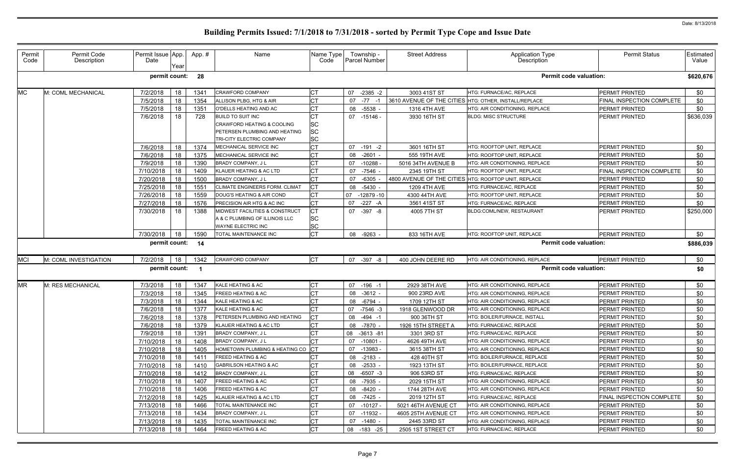| Permit<br>Code | Permit Code<br>Description | Permit Issue App.<br>Date | Year   | App.# | Name                                                                        | Name Type<br>Code      |    | Township -<br>Parcel Number | <b>Street Address</b>                                 | <b>Application Type</b><br>Description | <b>Permit Status</b>             | Estimated<br>Value |
|----------------|----------------------------|---------------------------|--------|-------|-----------------------------------------------------------------------------|------------------------|----|-----------------------------|-------------------------------------------------------|----------------------------------------|----------------------------------|--------------------|
|                |                            | permit count:             |        | 28    |                                                                             |                        |    |                             |                                                       | <b>Permit code valuation:</b>          |                                  | \$620,676          |
| <b>MC</b>      | M: COML MECHANICAL         | 7/2/2018                  | 18     | 134'  | <b>CRAWFORD COMPANY</b>                                                     | <b>CT</b>              | 07 | $-2385 -2$                  | 3003 41ST ST                                          | HTG: FURNACE/AC, REPLACE               | <b>PERMIT PRINTED</b>            | \$0                |
|                |                            | 7/5/2018                  | 18     | 1354  | ALLISON PLBG, HTG & AIR                                                     | <b>CT</b>              | 07 | $-77 - 1$                   | 3610 AVENUE OF THE CITIES HTG: OTHER, INSTALL/REPLACE |                                        | FINAL INSPECTION COMPLETE        | \$0                |
|                |                            | 7/5/2018                  | 18     | 1351  | O'DELLS HEATING AND AC                                                      | СT                     | 08 | -5538                       | 1316 4TH AVE                                          | HTG: AIR CONDITIONING, REPLACE         | PERMIT PRINTED                   | \$0                |
|                |                            | 7/6/2018                  | 18     | 728   | <b>BUILD TO SUIT INC</b>                                                    | <b>CT</b>              |    | 07 -15146 -                 | 3930 16TH ST                                          | <b>BLDG: MISC STRUCTURE</b>            | <b>PERMIT PRINTED</b>            | \$636,039          |
|                |                            |                           |        |       | <b>CRAWFORD HEATING &amp; COOLING</b>                                       | <b>SC</b>              |    |                             |                                                       |                                        |                                  |                    |
|                |                            |                           |        |       | PETERSEN PLUMBING AND HEATING                                               | <b>SC</b>              |    |                             |                                                       |                                        |                                  |                    |
|                |                            |                           |        |       | TRI-CITY ELECTRIC COMPANY                                                   | <b>SC</b>              |    |                             |                                                       |                                        |                                  |                    |
|                |                            | 7/6/2018                  | 18     | 1374  | MECHANICAL SERVICE INC                                                      | СT                     | 07 | $-191 -2$                   | 3601 16TH ST                                          | HTG: ROOFTOP UNIT, REPLACE             | <b>PERMIT PRINTED</b>            | \$0                |
|                |                            | 7/6/2018                  | 18     | 1375  | MECHANICAL SERVICE INC                                                      | <b>CT</b>              | 08 | $-2601 -$                   | 555 19TH AVE                                          | HTG: ROOFTOP UNIT, REPLACE             | <b>PERMIT PRINTED</b>            | \$0                |
|                |                            | 7/9/2018                  | 18     | 1390  | BRADY COMPANY, J L                                                          | <b>CT</b>              | 07 | $-10288$                    | 5016 34TH AVENUE B                                    | HTG: AIR CONDITIONING, REPLACE         | PERMIT PRINTED                   | \$0                |
|                |                            | 7/10/2018                 | 18     | 1409  | KLAUER HEATING & AC LTD                                                     | <b>CT</b>              | 07 | $-7546 -$                   | 2345 19TH ST                                          | HTG: ROOFTOP UNIT, REPLACE             | FINAL INSPECTION COMPLETE        | \$0                |
|                |                            | 7/20/2018                 | 18     | 1500  | BRADY COMPANY, J L                                                          | <b>CT</b>              | 07 | -6305                       | 4800 AVENUE OF THE CITIES HTG: ROOFTOP UNIT, REPLACE  |                                        | PERMIT PRINTED                   | \$0                |
|                |                            | 7/25/2018                 | 18     | 155'  | CLIMATE ENGINEERS FORM. CLIMAT                                              | IСТ                    | 08 | $-5430$                     | 1209 4TH AVE                                          | HTG: FURNACE/AC, REPLACE               | <b>PERMIT PRINTED</b>            | \$0                |
|                |                            | 7/26/2018                 | 18     | 1559  | DOUG'S HEATING & AIR COND                                                   | СT                     | 07 | $-12879-10$                 | 4300 44TH AVE                                         | HTG: ROOFTOP UNIT, REPLACE             | PERMIT PRINTED                   | \$0                |
|                |                            | 7/27/2018                 | 18     | 1576  | PRECISION AIR HTG & AC INC                                                  | <b>CT</b>              | 07 | $-227 - A$                  | 3561 41ST ST                                          | HTG: FURNACE/AC, REPLACE               | <b>PERMIT PRINTED</b>            | \$0                |
|                |                            | 7/30/2018                 | 18     | 1388  | <b>MIDWEST FACILITIES &amp; CONSTRUCT</b><br>A & C PLUMBING OF ILLINOIS LLC | <b>CT</b>              | 07 | -397 -8                     | 4005 7TH ST                                           | BLDG:COML/NEW, RESTAURANT              | PERMIT PRINTED                   | \$250,000          |
|                |                            |                           |        |       | WAYNE ELECTRIC INC                                                          | <b>SC</b><br><b>SC</b> |    |                             |                                                       |                                        |                                  |                    |
|                |                            | 7/30/2018                 | 18     | 1590  | TOTAL MAINTENANCE INC                                                       | <b>CT</b>              |    | 08 -9263                    | 833 16TH AVE                                          | HTG: ROOFTOP UNIT, REPLACE             | <b>PERMIT PRINTED</b>            | \$0                |
|                |                            | permit count:             |        | 14    |                                                                             |                        |    |                             |                                                       | <b>Permit code valuation:</b>          |                                  |                    |
|                |                            |                           |        |       |                                                                             |                        |    |                             |                                                       |                                        |                                  | \$886,039          |
| <b>MCI</b>     | M: COML INVESTIGATION      | 7/2/2018                  | 18     | 1342  | <b>CRAWFORD COMPANY</b>                                                     | IСТ                    |    | 07 -397 -8                  | 400 JOHN DEERE RD                                     | HTG: AIR CONDITIONING, REPLACE         | <b>PERMIT PRINTED</b>            | \$0                |
|                |                            | permit count:             |        |       |                                                                             |                        |    |                             |                                                       | <b>Permit code valuation:</b>          |                                  | \$0                |
| <b>MR</b>      | M: RES MECHANICAL          | 7/3/2018                  | 18     | 1347  | KALE HEATING & AC                                                           | IСТ                    | 07 | $-196 - 1$                  | 2929 38TH AVE                                         | HTG: AIR CONDITIONING, REPLACE         | PERMIT PRINTED                   | \$0                |
|                |                            | 7/3/2018                  | 18     | 1345  | <b>FREED HEATING &amp; AC</b>                                               | <b>CT</b>              | 08 | $-3612 -$                   | 900 23RD AVE                                          | HTG: AIR CONDITIONING, REPLACE         | PERMIT PRINTED                   | \$0                |
|                |                            | 7/3/2018                  | 18     | 1344  | KALE HEATING & AC                                                           | СT                     | 08 | -6794                       | 1709 12TH ST                                          | HTG: AIR CONDITIONING, REPLACE         | PERMIT PRINTED                   | \$0                |
|                |                            | 7/6/2018                  | 18     | 1377  | KALE HEATING & AC                                                           | <b>CT</b>              | 07 | $-7546 - 3$                 | 1918 GLENWOOD DR                                      | HTG: AIR CONDITIONING, REPLACE         | <b>PERMIT PRINTED</b>            | \$0                |
|                |                            | 7/6/2018                  | - 18 I | 1378  | <b>PETERSEN PLUMBING AND HEATING</b>                                        | CT                     |    | 08 -494 -1                  | 900 36TH ST                                           | HTG: BOILER/FURNACE, INSTALL           | PERMIT PRINTED                   | \$0                |
|                |                            | 7/6/2018                  | 18     | 1379  | KLAUER HEATING & AC LTD                                                     | <b>CT</b>              |    | 08 -7870 -                  | 1926 15TH STREET A                                    | HTG: FURNACE/AC, REPLACE               | PERMIT PRINTED                   | \$0                |
|                |                            | 7/9/2018                  | 18     | 1391  | <b>BRADY COMPANY, JL</b>                                                    | СT                     |    | 08 -3613 -81                | 3301 3RD ST                                           | HTG: FURNACE/AC, REPLACE               | PERMIT PRINTED                   | \$0                |
|                |                            | 7/10/2018                 | 18     | 1408  | BRADY COMPANY, J L                                                          | СT                     |    | 07 -10801 -                 | 4626 49TH AVE                                         | HTG: AIR CONDITIONING, REPLACE         | <b>PERMIT PRINTED</b>            | \$0                |
|                |                            | 7/10/2018                 | 18     | 1405  | HOMETOWN PLUMBING & HEATING CO CT                                           |                        |    | 07 -13983 -                 | 3615 38TH ST                                          | HTG: AIR CONDITIONING, REPLACE         | PERMIT PRINTED                   | \$0                |
|                |                            | 7/10/2018                 | 18     | 1411  | <b>FREED HEATING &amp; AC</b>                                               | СT                     |    | 08 -2183 -                  | 428 40TH ST                                           | HTG: BOILER/FURNACE, REPLACE           | PERMIT PRINTED                   | \$0                |
|                |                            | 7/10/2018                 | 18     | 1410  | <b>GABRILSON HEATING &amp; AC</b>                                           | <b>CT</b>              |    | 08 -2533 -                  | 1923 13TH ST                                          | HTG: BOILER/FURNACE, REPLACE           | PERMIT PRINTED                   | \$0                |
|                |                            | 7/10/2018                 | 18     | 1412  | <b>BRADY COMPANY, JL</b>                                                    | <b>CT</b>              |    | 08 -6507 -3                 | 906 53RD ST                                           | HTG: FURNACE/AC, REPLACE               | PERMIT PRINTED                   | \$0                |
|                |                            | 7/10/2018                 | 18     | 1407  | <b>FREED HEATING &amp; AC</b>                                               | <b>CT</b>              |    | 08 -7935 -                  | 2029 15TH ST                                          | HTG: AIR CONDITIONING, REPLACE         | PERMIT PRINTED                   | \$0                |
|                |                            | 7/10/2018                 | 18     | 1406  | <b>FREED HEATING &amp; AC</b>                                               | СT                     |    | 08 -8420 -                  | 1744 28TH AVE                                         | HTG: AIR CONDITIONING, REPLACE         | PERMIT PRINTED                   | \$0                |
|                |                            | 7/12/2018                 | 18     | 1425  | KLAUER HEATING & AC LTD                                                     | <b>CT</b>              |    | 08 -7425 -                  | 2019 12TH ST                                          | HTG: FURNACE/AC, REPLACE               | <b>FINAL INSPECTION COMPLETE</b> | \$0                |
|                |                            | 7/13/2018                 | 18     | 1466  | TOTAL MAINTENANCE INC                                                       | <b>CT</b>              |    | 07 -10127 -                 | 5021 46TH AVENUE CT                                   | HTG: AIR CONDITIONING, REPLACE         | <b>PERMIT PRINTED</b>            | \$0                |
|                |                            | 7/13/2018                 | 18     | 1434  | BRADY COMPANY, JL                                                           | СT                     |    | 07 -11932 -                 | 4605 25TH AVENUE CT                                   | HTG: AIR CONDITIONING, REPLACE         | <b>PERMIT PRINTED</b>            | \$0                |
|                |                            |                           |        |       |                                                                             |                        |    |                             |                                                       |                                        |                                  |                    |
|                |                            | 7/13/2018                 | 18     | 1435  | TOTAL MAINTENANCE INC                                                       | <b>CT</b>              |    | 07 -1480 -                  | 2445 33RD ST                                          | HTG: AIR CONDITIONING, REPLACE         | PERMIT PRINTED                   | \$0                |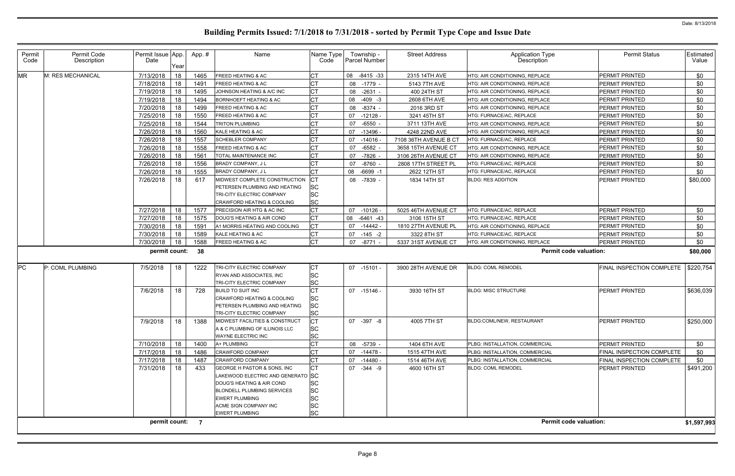| Permit<br>Code | Permit Code<br>Description | Permit Issue App.<br>Date | Year | App.# | Name                                    | Name Type<br>Code | Township -<br><b>Parcel Number</b> | <b>Street Address</b> | Application Type<br>Description | <b>Permit Status</b>      | <b>Estimated</b><br>Value |
|----------------|----------------------------|---------------------------|------|-------|-----------------------------------------|-------------------|------------------------------------|-----------------------|---------------------------------|---------------------------|---------------------------|
| <b>MR</b>      | M: RES MECHANICAL          | 7/13/2018                 | 18   | 1465  | FREED HEATING & AC                      | <b>CT</b>         | 08 -8415 -33                       | 2315 14TH AVE         | HTG: AIR CONDITIONING, REPLACE  | <b>PERMIT PRINTED</b>     | \$0                       |
|                |                            | 7/18/2018                 | 18   | 1491  | <b>REED HEATING &amp; AC</b>            | <b>CT</b>         | 08 -1779 -                         | 5143 7TH AVE          | HTG: AIR CONDITIONING, REPLACE  | <b>PERMIT PRINTED</b>     | \$0                       |
|                |                            | 7/19/2018                 | 18   | 1495  | JOHNSON HEATING & A/C INC               | <b>CT</b>         | 08 -2631 -                         | 400 24TH ST           | HTG: AIR CONDITIONING, REPLACE  | PERMIT PRINTED            | \$0                       |
|                |                            | 7/19/2018                 | 18   | 1494  | <b>BORNHOEFT HEATING &amp; AC</b>       | <b>CT</b>         | 08 -409 -3                         | 2608 6TH AVE          | HTG: AIR CONDITIONING, REPLACE  | PERMIT PRINTED            | \$0                       |
|                |                            | 7/20/2018                 | 18   | 1499  | <b>REED HEATING &amp; AC</b>            | <b>CT</b>         | 08 -8374 -                         | 2016 3RD ST           | HTG: AIR CONDITIONING, REPLACE  | <b>PERMIT PRINTED</b>     | \$0                       |
|                |                            | 7/25/2018                 | 18   | 1550  | <b>REED HEATING &amp; AC</b>            | <b>CT</b>         | 07<br>$-12128$                     | 3241 45TH ST          | HTG: FURNACE/AC, REPLACE        | PERMIT PRINTED            | \$0                       |
|                |                            | 7/25/2018                 | 18   | 1544  | <b>TRITON PLUMBING</b>                  |                   | $-6550$ -<br>07                    | 3711 13TH AVE         | HTG: AIR CONDITIONING, REPLACE  | <b>PERMIT PRINTED</b>     | \$0                       |
|                |                            | 7/26/2018                 | 18   | 1560  | KALE HEATING & AC                       | СT                | 07 -13496 -                        | 4248 22ND AVE         | HTG: AIR CONDITIONING, REPLACE  | <b>PERMIT PRINTED</b>     | \$0                       |
|                |                            | 7/26/2018                 | 18   | 1557  | <b>SCHEBLER COMPANY</b>                 | <b>CT</b>         | 07<br>$-14016$                     | 7108 36TH AVENUE B CT | HTG: FURNACE/AC, REPLACE        | PERMIT PRINTED            | \$0                       |
|                |                            | 7/26/2018                 | 18   | 1558  | <b>REED HEATING &amp; AC</b>            |                   | $-6582$<br>07                      | 3658 15TH AVENUE CT   | HTG: AIR CONDITIONING, REPLACE  | <b>PERMIT PRINTED</b>     | \$0                       |
|                |                            | 7/26/2018                 | 18   | 1561  | <b>FOTAL MAINTENANCE INC</b>            | <b>CT</b>         | $-7826$<br>07                      | 3106 26TH AVENUE CT   | HTG: AIR CONDITIONING, REPLACE  | <b>PERMIT PRINTED</b>     | \$0                       |
|                |                            | 7/26/2018                 | 18   | 1556  | <b>BRADY COMPANY, JL</b>                |                   | 07<br>-8760 -                      | 2808 17TH STREET PL   | HTG: FURNACE/AC, REPLACE        | <b>PERMIT PRINTED</b>     | \$0                       |
|                |                            | 7/26/2018                 | 18   | 1555  | BRADY COMPANY, J L                      | <b>CT</b>         | 08 -6699 -1                        | 2622 12TH ST          | HTG: FURNACE/AC, REPLACE        | PERMIT PRINTED            | \$0                       |
|                |                            | 7/26/2018                 | 18   | 617   | MIDWEST COMPLETE CONSTRUCTION           |                   | 08 -7839 -                         | 1834 14TH ST          | <b>BLDG: RES ADDITION</b>       | <b>PERMIT PRINTED</b>     | \$80,000                  |
|                |                            |                           |      |       | PETERSEN PLUMBING AND HEATING           | <b>SC</b>         |                                    |                       |                                 |                           |                           |
|                |                            |                           |      |       | TRI-CITY ELECTRIC COMPANY               | <b>SC</b>         |                                    |                       |                                 |                           |                           |
|                |                            |                           |      |       | CRAWFORD HEATING & COOLING              | <b>SC</b>         |                                    |                       |                                 |                           |                           |
|                |                            | 7/27/2018                 | 18   | 1577  | <b>PRECISION AIR HTG &amp; AC INC</b>   | <b>CT</b>         | 07 -10126 -                        | 5025 46TH AVENUE CT   | HTG: FURNACE/AC, REPLACE        | <b>PERMIT PRINTED</b>     | \$0                       |
|                |                            | 7/27/2018                 | 18   | 1575  | DOUG'S HEATING & AIR COND               | СT                | 08 -6461 -43                       | 3106 15TH ST          | HTG: FURNACE/AC, REPLACE        | <b>PERMIT PRINTED</b>     | \$0                       |
|                |                            | 7/30/2018                 | 18   | 1591  | A1 MORRIS HEATING AND COOLING           | IСТ               | 07 -14442 -                        | 1810 27TH AVENUE PL   | HTG: AIR CONDITIONING, REPLACE  | <b>PERMIT PRINTED</b>     | \$0                       |
|                |                            | 7/30/2018                 | 18   | 1589  | KALE HEATING & AC                       | <b>CT</b>         | 07 -145 -2                         | 3322 8TH ST           | HTG: FURNACE/AC, REPLACE        | <b>PERMIT PRINTED</b>     | \$0                       |
|                |                            | 7/30/2018                 | 18   | 1588  | <b>REED HEATING &amp; AC</b>            | <b>CT</b>         | -8771 -<br>07                      | 5337 31ST AVENUE CT   | HTG: AIR CONDITIONING, REPLACE  | PERMIT PRINTED            | \$0                       |
|                |                            | permit count:             |      | - 38  |                                         |                   |                                    |                       | <b>Permit code valuation:</b>   |                           | \$80,000                  |
|                |                            |                           |      |       |                                         |                   |                                    |                       |                                 |                           |                           |
| <b>IPC</b>     | P: COML PLUMBING           | 7/5/2018                  | 18   | 1222  | TRI-CITY ELECTRIC COMPANY               | СT                | 07 -15101 -                        | 3900 28TH AVENUE DR   | <b>BLDG: COML REMODEL</b>       | FINAL INSPECTION COMPLETE | \$220,754                 |
|                |                            |                           |      |       | RYAN AND ASSOCIATES, INC                | <b>SC</b>         |                                    |                       |                                 |                           |                           |
|                |                            |                           |      |       | TRI-CITY ELECTRIC COMPANY               | <b>SC</b>         |                                    |                       |                                 |                           |                           |
|                |                            | 7/6/2018                  | 18   | 728   | <b>BUILD TO SUIT INC</b>                | <b>CT</b>         | 07 -15146 -                        | 3930 16TH ST          | <b>BLDG: MISC STRUCTURE</b>     | PERMIT PRINTED            | \$636,039                 |
|                |                            |                           |      |       | <b>CRAWFORD HEATING &amp; COOLING</b>   | <b>SC</b>         |                                    |                       |                                 |                           |                           |
|                |                            |                           |      |       | PETERSEN PLUMBING AND HEATING           | <b>SC</b>         |                                    |                       |                                 |                           |                           |
|                |                            |                           |      |       | TRI-CITY ELECTRIC COMPANY               | <b>SC</b>         |                                    |                       |                                 |                           |                           |
|                |                            | 7/9/2018                  | 18   | 1388  | MIDWEST FACILITIES & CONSTRUCT          | <b>CT</b>         | 07 -397 -8                         | 4005 7TH ST           | BLDG:COML/NEW, RESTAURANT       | PERMIT PRINTED            | \$250,000                 |
|                |                            |                           |      |       | A & C PLUMBING OF ILLINOIS LLC          | <b>SC</b>         |                                    |                       |                                 |                           |                           |
|                |                            |                           |      |       | WAYNE ELECTRIC INC                      | <b>SC</b>         |                                    |                       |                                 |                           |                           |
|                |                            | 7/10/2018                 | 18   | 1400  | A+ PLUMBING                             | <b>CT</b>         | 08 -5739 -                         | 1404 6TH AVE          | PLBG: INSTALLATION, COMMERCIAL  | <b>PERMIT PRINTED</b>     | \$0                       |
|                |                            | 7/17/2018                 | 18   | 1486  | CRAWFORD COMPANY                        |                   | 07 -14478 -                        | 1515 47TH AVE         | PLBG: INSTALLATION, COMMERCIAL  | FINAL INSPECTION COMPLETE | \$0                       |
|                |                            | 7/17/2018                 | 18   | 1487  | <b>CRAWFORD COMPANY</b>                 |                   | 07 -14480 -                        | 1514 46TH AVE         | PLBG: INSTALLATION, COMMERCIAL  | FINAL INSPECTION COMPLETE | \$0                       |
|                |                            | 7/31/2018                 | 18   | 433   | GEORGE H PASTOR & SONS, INC             |                   | 07 - 344 - 9                       | 4600 16TH ST          | <b>BLDG: COML REMODEL</b>       | PERMIT PRINTED            | \$491,200                 |
|                |                            |                           |      |       | AKEWOOD ELECTRIC AND GENERATO SC        |                   |                                    |                       |                                 |                           |                           |
|                |                            |                           |      |       | DOUG'S HEATING & AIR COND               | <b>SC</b>         |                                    |                       |                                 |                           |                           |
|                |                            |                           |      |       | <b>BLONDELL PLUMBING SERVICES</b>       | <b>SC</b>         |                                    |                       |                                 |                           |                           |
|                |                            |                           |      |       | EWERT PLUMBING<br>ACME SIGN COMPANY INC | <b>SC</b>         |                                    |                       |                                 |                           |                           |
|                |                            |                           |      |       | EWERT PLUMBING                          | SC<br><b>SC</b>   |                                    |                       |                                 |                           |                           |
|                |                            |                           |      |       |                                         |                   |                                    |                       | <b>Permit code valuation:</b>   |                           |                           |
|                |                            | permit count: 7           |      |       |                                         |                   |                                    |                       |                                 |                           | \$1,597,993               |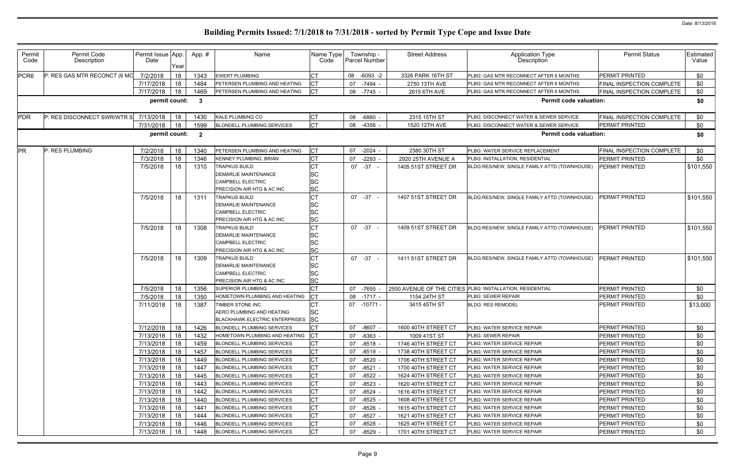| Permit<br>Code   | Permit Code<br>Description   | Permit Issue App.<br>Date | Year | App. #                  | Name                                                                                                          | Name Type<br>Code                                |    | Township -<br>Parcel Number | <b>Street Address</b> | <b>Application Type</b><br>Description                    | <b>Permit Status</b>             | Estimated<br>Value |
|------------------|------------------------------|---------------------------|------|-------------------------|---------------------------------------------------------------------------------------------------------------|--------------------------------------------------|----|-----------------------------|-----------------------|-----------------------------------------------------------|----------------------------------|--------------------|
| PCR <sub>6</sub> | P: RES GAS MTR RECONCT (6 MO | 7/2/2018                  | 18   | 1343                    | <b>EWERT PLUMBING</b>                                                                                         | <b>CT</b>                                        | 08 | $-6093 -2$                  | 3326 PARK 16TH ST     | PLBG: GAS MTR RECONNECT AFTER 6 MONTHS                    | <b>PERMIT PRINTED</b>            | \$0                |
|                  |                              | 7/17/2018                 | 18   | 1484                    | PETERSEN PLUMBING AND HEATING                                                                                 | <b>CT</b>                                        | 07 | -7494 -                     | 2750 13TH AVE         | PLBG: GAS MTR RECONNECT AFTER 6 MONTHS                    | FINAL INSPECTION COMPLETE        | \$0                |
|                  |                              | 7/17/2018                 | 18   | 1469                    | PETERSEN PLUMBING AND HEATING                                                                                 | <b>CT</b>                                        |    | 08 -7745 -                  | 2615 6TH AVE          | PLBG: GAS MTR RECONNECT AFTER 6 MONTHS                    | <b>FINAL INSPECTION COMPLETE</b> | \$0                |
|                  |                              | permit count:             |      | $\mathbf{3}$            |                                                                                                               |                                                  |    |                             |                       | <b>Permit code valuation:</b>                             |                                  | \$0                |
| <b>PDR</b>       | P: RES DISCONNECT SWR/WTR S  | 7/13/2018                 | 18   | 1430                    | <b>KALE PLUMBING CO</b>                                                                                       | <b>CT</b>                                        |    | 08 -6880                    | 2315 15TH ST          | PLBG: DISCONNECT WATER & SEWER SERVICE                    | FINAL INSPECTION COMPLETE        | \$0                |
|                  |                              | 7/31/2018                 | 18   | 1599                    | <b>BLONDELL PLUMBING SERVICES</b>                                                                             | <b>CT</b>                                        | 08 | $-4356$                     | 1520 12TH AVE         | PLBG: DISCONNECT WATER & SEWER SERVICE                    | PERMIT PRINTED                   | \$0                |
|                  |                              | permit count:             |      | $\overline{\mathbf{2}}$ |                                                                                                               |                                                  |    |                             |                       | <b>Permit code valuation:</b>                             |                                  | \$0                |
| <b>PR</b>        | P: RES PLUMBING              | 7/2/2018                  | 18   | 1340                    | PETERSEN PLUMBING AND HEATING                                                                                 | <b>CT</b>                                        |    | 07 -2024 -                  | 2380 30TH ST          | PLBG: WATER SERVICE REPLACEMENT                           | FINAL INSPECTION COMPLETE        | \$0                |
|                  |                              | 7/3/2018                  | 18   | 1346                    | <b>KENNEY PLUMBING, BRIAN</b>                                                                                 | СT                                               | 07 | $-2293$                     | 2920 25TH AVENUE A    | PLBG: INSTALLATION, RESIDENTIAL                           | PERMIT PRINTED                   | \$0                |
|                  |                              | 7/5/2018                  | 18   | 1310                    | <b>TRAPKUS BUILD</b><br><b>DEMARLIE MAINTENANCE</b><br>CAMPBELL ELECTRIC<br>PRECISION AIR HTG & AC INC        | <b>CT</b><br><b>SC</b><br><b>SC</b><br><b>SC</b> |    | $07 -37 -$                  | 1405 51ST STREET DR   | BLDG:RES/NEW, SINGLE FAMILY ATTD (TOWNHOUSE)              | PERMIT PRINTED                   | \$101,550          |
|                  |                              | 7/5/2018                  | 18   | 1311                    | <b>TRAPKUS BUILD</b><br><b>DEMARLIE MAINTENANCE</b><br>CAMPBELL ELECTRIC<br>PRECISION AIR HTG & AC INC        | <b>CT</b><br><b>SC</b><br>SC<br><b>SC</b>        |    | 07 -37 -                    | 1407 51ST STREET DR   | BLDG:RES/NEW, SINGLE FAMILY ATTD (TOWNHOUSE)              | PERMIT PRINTED                   | \$101,550          |
|                  |                              | 7/5/2018                  | 18   | 1308                    | <b>TRAPKUS BUILD</b><br><b>DEMARLIE MAINTENANCE</b><br>CAMPBELL ELECTRIC<br>PRECISION AIR HTG & AC INC        | <b>CT</b><br><b>SC</b><br><b>SC</b><br><b>SC</b> |    | $07 -37 -$                  | 1409 51ST STREET DR   | BLDG:RES/NEW, SINGLE FAMILY ATTD (TOWNHOUSE)              | <b>PERMIT PRINTED</b>            | \$101,550          |
|                  |                              | 7/5/2018                  | 18   | 1309                    | <b>TRAPKUS BUILD</b><br><b>DEMARLIE MAINTENANCE</b><br><b>CAMPBELL ELECTRIC</b><br>PRECISION AIR HTG & AC INC | <b>CT</b><br><b>SC</b><br>SC<br><b>SC</b>        |    | $07 -37 -$                  | 1411 51ST STREET DR   | BLDG:RES/NEW, SINGLE FAMILY ATTD (TOWNHOUSE)              | <b>PERMIT PRINTED</b>            | \$101,550          |
|                  |                              | 7/5/2018                  | 18   | 1356                    | <b>SUPERIOR PLUMBING</b>                                                                                      | <b>CT</b>                                        |    | 07 -7655 -                  |                       | 2500 AVENUE OF THE CITIES PLBG: INSTALLATION, RESIDENTIAL | <b>PERMIT PRINTED</b>            | \$0                |
|                  |                              | 7/5/2018                  | 18   | 1350                    | HOMETOWN PLUMBING AND HEATING                                                                                 | <b>CT</b>                                        |    | 08 -1717 -                  | 1154 24TH ST          | <b>PLBG: SEWER REPAIR</b>                                 | <b>PERMIT PRINTED</b>            | \$0                |
|                  |                              | 7/11/2018                 | 18   | 1387                    | TIMBER STONE INC.<br>AERO PLUMBING AND HEATING<br>BLACKHAWK ELECTRIC ENTERPRISES SC                           | <b>CT</b><br><b>SC</b>                           |    | $07 - 10771$                | 3415 45TH ST          | <b>BLDG: RES REMODEL</b>                                  | <b>PERMIT PRINTED</b>            | \$13,000           |
|                  |                              | 7/12/2018                 | 18   | 1426                    | <b>BLONDELL PLUMBING SERVICES</b>                                                                             | <b>CT</b>                                        |    | 07 -8607 -                  | 1600 40TH STREET CT   | PLBG: WATER SERVICE REPAIR                                | <b>PERMIT PRINTED</b>            | \$0                |
|                  |                              | 7/13/2018                 | 18   | 1432                    | HOMETOWN PLUMBING AND HEATING                                                                                 | <b>ICT</b>                                       |    | 07 -6363 -                  | 1009 41ST ST          | <b>PLBG: SEWER REPAIR</b>                                 | <b>PERMIT PRINTED</b>            | \$0                |
|                  |                              | 7/13/2018                 | 18   | 1459                    | <b>BLONDELL PLUMBING SERVICES</b>                                                                             | СT                                               |    | 07 -8518 -                  | 1746 40TH STREET CT   | <b>PLBG: WATER SERVICE REPAIR</b>                         | <b>PERMIT PRINTED</b>            | \$0                |
|                  |                              | 7/13/2018                 | 18   | 1457                    | BLONDELL PLUMBING SERVICES                                                                                    | <b>CT</b>                                        |    | 07 -8519 -                  | 1738 40TH STREET CT   | PLBG: WATER SERVICE REPAIR                                | <b>PERMIT PRINTED</b>            | \$0                |
|                  |                              | 7/13/2018                 | 18   | 1449                    | <b>BLONDELL PLUMBING SERVICES</b>                                                                             | <b>CT</b>                                        | 07 | -8520 -                     | 1706 40TH STREET CT   | PLBG: WATER SERVICE REPAIR                                | PERMIT PRINTED                   | \$0                |
|                  |                              | 7/13/2018                 | 18   | 1447                    | <b>BLONDELL PLUMBING SERVICES</b>                                                                             | <b>CT</b>                                        | 07 | $-8521 -$                   | 1700 40TH STREET CT   | PLBG: WATER SERVICE REPAIR                                | <b>PERMIT PRINTED</b>            | \$0                |
|                  |                              | 7/13/2018                 | 18   | 1445                    | <b>BLONDELL PLUMBING SERVICES</b>                                                                             | <b>CT</b>                                        | 07 | -8522 -                     | 1624 40TH STREET CT   | PLBG: WATER SERVICE REPAIR                                | <b>PERMIT PRINTED</b>            | \$0                |
|                  |                              | 7/13/2018                 | 18   | 1443                    | <b>BLONDELL PLUMBING SERVICES</b>                                                                             | <b>CT</b>                                        | 07 | -8523 -                     | 1620 40TH STREET CT   | <b>PLBG: WATER SERVICE REPAIR</b>                         | <b>PERMIT PRINTED</b>            | \$0                |
|                  |                              | 7/13/2018                 | 18   | 1442                    | <b>BLONDELL PLUMBING SERVICES</b>                                                                             | <b>CT</b>                                        | 07 | -8524 -                     | 1616 40TH STREET CT   | <b>PLBG: WATER SERVICE REPAIR</b>                         | <b>PERMIT PRINTED</b>            | \$0                |
|                  |                              | 7/13/2018                 | 18   | 1440                    | <b>BLONDELL PLUMBING SERVICES</b>                                                                             | <b>CT</b>                                        | 07 | $-8525$ -                   | 1608 40TH STREET CT   | <b>PLBG: WATER SERVICE REPAIR</b>                         | <b>PERMIT PRINTED</b>            | \$0                |
|                  |                              | 7/13/2018                 | 18   | 1441                    | BLONDELL PLUMBING SERVICES                                                                                    | <b>CT</b>                                        | 07 | $-8526$ -                   | 1615 40TH STREET CT   | PLBG: WATER SERVICE REPAIR                                | <b>PERMIT PRINTED</b>            | \$0                |
|                  |                              | 7/13/2018                 | 18   | 1444                    | BLONDELL PLUMBING SERVICES                                                                                    | <b>CT</b>                                        |    | 07 -8527 -                  | 1621 40TH STREET CT   | PLBG: WATER SERVICE REPAIR                                | <b>PERMIT PRINTED</b>            | \$0                |
|                  |                              | 7/13/2018                 | 18   | 1446                    | <b>BLONDELL PLUMBING SERVICES</b>                                                                             | <b>CT</b>                                        | 07 | $-8528$ -                   | 1625 40TH STREET CT   | PLBG: WATER SERVICE REPAIR                                | PERMIT PRINTED                   | \$0                |
|                  |                              | 7/13/2018                 | 18   | 1448                    | <b>BLONDELL PLUMBING SERVICES</b>                                                                             | СT                                               | 07 | -8529 -                     | 1701 40TH STREET CT   | PLBG: WATER SERVICE REPAIR                                | <b>PERMIT PRINTED</b>            | \$0                |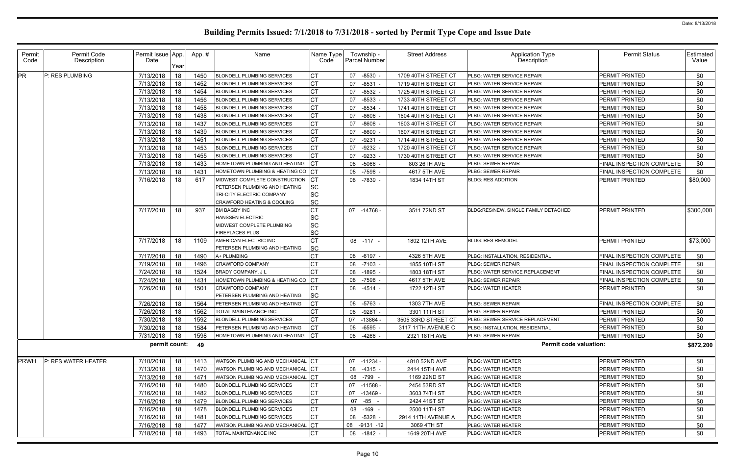| Permit<br>Code | Permit Code<br>Description | Permit Issue App.<br>Date | Year | App.# | Name                                            | Name Type<br>Code      | Township -<br>Parcel Number | <b>Street Address</b> | Application Type<br>Description        | <b>Permit Status</b>             | Estimated<br>Value |
|----------------|----------------------------|---------------------------|------|-------|-------------------------------------------------|------------------------|-----------------------------|-----------------------|----------------------------------------|----------------------------------|--------------------|
| <b>PR</b>      | P: RES PLUMBING            | 7/13/2018                 | 18   | 1450  | <b>BLONDELL PLUMBING SERVICES</b>               | <b>CT</b>              | $-8530$ .<br>07             | 1709 40TH STREET CT   | PLBG: WATER SERVICE REPAIR             | PERMIT PRINTED                   | \$0                |
|                |                            | 7/13/2018                 | 18   | 1452  | <b>BLONDELL PLUMBING SERVICES</b>               | <b>CT</b>              | $-8531$<br>07               | 1719 40TH STREET CT   | PLBG: WATER SERVICE REPAIR             | PERMIT PRINTED                   | \$0                |
|                |                            | 7/13/2018                 | 18   | 1454  | <b>BLONDELL PLUMBING SERVICES</b>               | СT                     | $-8532$<br>07               | 1725 40TH STREET CT   | PLBG: WATER SERVICE REPAIR             | PERMIT PRINTED                   | \$0                |
|                |                            | 7/13/2018                 | 18   | 1456  | <b>BLONDELL PLUMBING SERVICES</b>               | <b>CT</b>              | -8533<br>07                 | 1733 40TH STREET CT   | PLBG: WATER SERVICE REPAIR             | PERMIT PRINTED                   | \$0                |
|                |                            | 7/13/2018                 | 18   | 1458  | <b>BLONDELL PLUMBING SERVICES</b>               | <b>CT</b>              | -8534<br>07                 | 1741 40TH STREET CT   | PLBG: WATER SERVICE REPAIR             | PERMIT PRINTED                   | \$0                |
|                |                            | 7/13/2018                 | 18   | 1438  | <b>BLONDELL PLUMBING SERVICES</b>               | СT                     | 07<br>-8606                 | 1604 40TH STREET CT   | PLBG: WATER SERVICE REPAIR             | PERMIT PRINTED                   | \$0                |
|                |                            | 7/13/2018                 | 18   | 1437  | <b>BLONDELL PLUMBING SERVICES</b>               | <b>CT</b>              | $-8608$<br>07               | 1603 40TH STREET CT   | PLBG: WATER SERVICE REPAIR             | PERMIT PRINTED                   | \$0                |
|                |                            | 7/13/2018                 | 18   | 1439  | <b>BLONDELL PLUMBING SERVICES</b>               | <b>CT</b>              | $-8609 -$<br>07             | 1607 40TH STREET CT   | PLBG: WATER SERVICE REPAIR             | PERMIT PRINTED                   | \$0                |
|                |                            | 7/13/2018                 | 18   | 1451  | <b>BLONDELL PLUMBING SERVICES</b>               | <b>CT</b>              | $-9231$<br>07               | 1714 40TH STREET CT   | PLBG: WATER SERVICE REPAIR             | PERMIT PRINTED                   | \$0                |
|                |                            | 7/13/2018                 | 18   | 1453  | <b>BLONDELL PLUMBING SERVICES</b>               | Iст                    | 07<br>$-9232$ .             | 1720 40TH STREET CT   | PLBG: WATER SERVICE REPAIR             | <b>PERMIT PRINTED</b>            | \$0                |
|                |                            | 7/13/2018                 | 18   | 1455  | <b>BLONDELL PLUMBING SERVICES</b>               | <b>CT</b>              | $-9233$<br>07               | 1730 40TH STREET CT   | PLBG: WATER SERVICE REPAIR             | PERMIT PRINTED                   | \$0                |
|                |                            | 7/13/2018                 | 18   | 1433  | HOMETOWN PLUMBING AND HEATING                   |                        | $-5066$<br>08               | 803 26TH AVE          | PLBG: SEWER REPAIR                     | FINAL INSPECTION COMPLETE        | \$0                |
|                |                            | 7/13/2018                 | 18   | 1431  | HOMETOWN PLUMBING & HEATING CO CT               |                        | 08 -7598                    | 4617 5TH AVE          | PLBG: SEWER REPAIR                     | FINAL INSPECTION COMPLETE        | \$0                |
|                |                            | 7/16/2018                 | 18   | 617   | MIDWEST COMPLETE CONSTRUCTION                   | IСТ                    | 08 -7839 -                  | 1834 14TH ST          | <b>BLDG: RES ADDITION</b>              | <b>PERMIT PRINTED</b>            | \$80,000           |
|                |                            |                           |      |       | PETERSEN PLUMBING AND HEATING                   | <b>SC</b>              |                             |                       |                                        |                                  |                    |
|                |                            |                           |      |       | TRI-CITY ELECTRIC COMPANY                       | <b>SC</b>              |                             |                       |                                        |                                  |                    |
|                |                            |                           |      |       | CRAWFORD HEATING & COOLING                      | <b>SC</b>              |                             |                       |                                        |                                  |                    |
|                |                            | 7/17/2018                 | 18   | 937   | <b>BM BAGBY INC</b>                             | <b>CT</b>              | 07 -14768                   | 3511 72ND ST          | BLDG:RES/NEW, SINGLE FAMILY DETACHED   | <b>PERMIT PRINTED</b>            | \$300,000          |
|                |                            |                           |      |       | HANSSEN ELECTRIC                                | <b>SC</b>              |                             |                       |                                        |                                  |                    |
|                |                            |                           |      |       | MIDWEST COMPLETE PLUMBING                       | <b>SC</b><br><b>SC</b> |                             |                       |                                        |                                  |                    |
|                |                            |                           |      |       | <b>FIREPLACES PLUS</b><br>AMERICAN ELECTRIC INC |                        |                             |                       | <b>BLDG: RES REMODEL</b>               | <b>PERMIT PRINTED</b>            |                    |
|                |                            | 7/17/2018                 | 18   | 1109  | PETERSEN PLUMBING AND HEATING                   | <b>CT</b><br><b>SC</b> | 08 -117 -                   | 1802 12TH AVE         |                                        |                                  | \$73,000           |
|                |                            | 7/17/2018                 | 18   | 1490  | A+ PLUMBING                                     | <b>CT</b>              | 08 -6197 -                  | 4326 5TH AVE          | PLBG: INSTALLATION, RESIDENTIAL        | <b>FINAL INSPECTION COMPLETE</b> | \$0                |
|                |                            | 7/19/2018                 | 18   | 1496  | <b>CRAWFORD COMPANY</b>                         | СT                     | -7103 -<br>08               | 1855 10TH ST          | PLBG: SEWER REPAIR                     | FINAL INSPECTION COMPLETE        | \$0                |
|                |                            | 7/24/2018                 | 18   | 1524  | <b>BRADY COMPANY, JL</b>                        | IСТ                    | 08<br>-1895 -               | 1803 18TH ST          | PLBG: WATER SERVICE REPLACEMENT        | FINAL INSPECTION COMPLETE        | \$0                |
|                |                            | 7/24/2018                 | 18   | 1431  | HOMETOWN PLUMBING & HEATING CO                  | CT                     | 08 -7598 -                  | 4617 5TH AVE          | PLBG: SEWER REPAIR                     | FINAL INSPECTION COMPLETE        | \$0                |
|                |                            | 7/26/2018                 | 18   | 1501  | <b>CRAWFORD COMPANY</b>                         | IСТ                    | 08 -4514 -                  | 1722 12TH ST          | <b>PLBG: WATER HEATER</b>              | <b>PERMIT PRINTED</b>            | \$0                |
|                |                            |                           |      |       | PETERSEN PLUMBING AND HEATING                   | <b>SC</b>              |                             |                       |                                        |                                  |                    |
|                |                            | 7/26/2018                 | 18   | 1564  | PETERSEN PLUMBING AND HEATING                   |                        | $-5763$ -<br>08             | 1303 7TH AVE          | PLBG: SEWER REPAIR                     | FINAL INSPECTION COMPLETE        | \$0                |
|                |                            | 7/26/2018                 | 18   | 1562  | TOTAL MAINTENANCE INC                           | СT                     | 08 -9281                    | 3301 11TH ST          | PLBG: SEWER REPAIR                     | PERMIT PRINTED                   | \$0                |
|                |                            | 7/30/2018 18              |      | 1592  | <b>BLONDELL PLUMBING SERVICES</b>               | IСТ                    | 07 -13864 -                 | 3505 33RD STREET CT   | <b>PLBG: SEWER SERVICE REPLACEMENT</b> | <b>PERMIT PRINTED</b>            | \$0                |
|                |                            | 7/30/2018 18              |      | 1584  | PETERSEN PLUMBING AND HEATING                   | <b>ICT</b>             | 08 -6595 -                  | 3117 11TH AVENUE C    | PLBG: INSTALLATION, RESIDENTIAL        | PERMIT PRINTED                   | \$0                |
|                |                            | 7/31/2018                 | 18   | 1598  | HOMETOWN PLUMBING AND HEATING CT                |                        | 08 -4266 -                  | 2321 18TH AVE         | <b>PLBG: SEWER REPAIR</b>              | PERMIT PRINTED                   | \$0                |
|                |                            | permit count: 49          |      |       |                                                 |                        |                             |                       | <b>Permit code valuation:</b>          |                                  | \$872,200          |
|                |                            |                           |      |       |                                                 |                        |                             |                       |                                        |                                  |                    |
| <b>PRWH</b>    | P: RES WATER HEATER        | 7/10/2018                 | 18   | 1413  | WATSON PLUMBING AND MECHANICAL CT               |                        | 07 -11234 -                 | 4810 52ND AVE         | PLBG: WATER HEATER                     | PERMIT PRINTED                   | \$0                |
|                |                            | 7/13/2018                 | 18   | 1470  | WATSON PLUMBING AND MECHANICAL CT               |                        | 08 -4315 -                  | 2414 15TH AVE         | PLBG: WATER HEATER                     | PERMIT PRINTED                   | \$0                |
|                |                            | 7/13/2018                 | 18   | 1471  | WATSON PLUMBING AND MECHANICAL CT               |                        | 08 -799 -                   | 1169 22ND ST          | PLBG: WATER HEATER                     | PERMIT PRINTED                   | \$0                |
|                |                            | 7/16/2018                 | 18   | 1480  | <b>BLONDELL PLUMBING SERVICES</b>               | <b>CT</b>              | 07 -11588 -                 | 2454 53RD ST          | PLBG: WATER HEATER                     | PERMIT PRINTED                   | \$0                |
|                |                            | 7/16/2018                 | 18   | 1482  | BLONDELL PLUMBING SERVICES                      | <b>CT</b>              | 07 -13469 -                 | 3603 74TH ST          | PLBG: WATER HEATER                     | PERMIT PRINTED                   | \$0                |
|                |                            | 7/16/2018                 | 18   | 1479  | BLONDELL PLUMBING SERVICES                      | СT                     | 07 - 85 -                   | 2424 41ST ST          | PLBG: WATER HEATER                     | PERMIT PRINTED                   | \$0                |
|                |                            | 7/16/2018                 | 18   | 1478  | BLONDELL PLUMBING SERVICES                      | <b>CT</b>              | 08 -169 -                   | 2500 11TH ST          | PLBG: WATER HEATER                     | PERMIT PRINTED                   | \$0                |
|                |                            | 7/16/2018                 | 18   | 1481  | <b>BLONDELL PLUMBING SERVICES</b>               | <b>CT</b>              | 08 -5328 -                  | 2914 11TH AVENUE A    | PLBG: WATER HEATER                     | PERMIT PRINTED                   | \$0                |
|                |                            | 7/16/2018                 | 18   | 1477  | WATSON PLUMBING AND MECHANICAL CT               |                        | 08 -9131 -12                | 3069 4TH ST           | PLBG: WATER HEATER                     | PERMIT PRINTED                   | \$0                |
|                |                            | 7/18/2018                 | 18   | 1493  | TOTAL MAINTENANCE INC                           | <b>CT</b>              | 08 -1842 -                  | 1649 20TH AVE         | PLBG: WATER HEATER                     | PERMIT PRINTED                   | \$0                |
|                |                            |                           |      |       |                                                 |                        |                             |                       |                                        |                                  |                    |